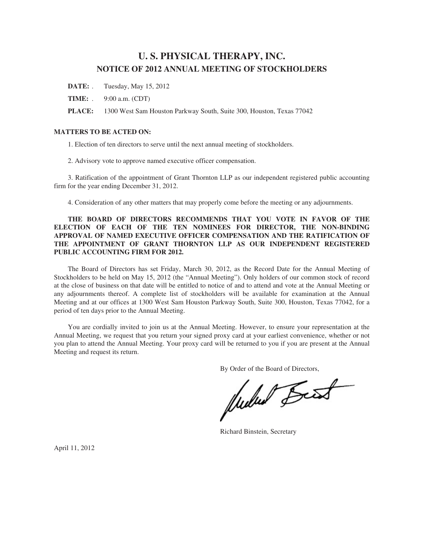# **U. S. PHYSICAL THERAPY, INC. NOTICE OF 2012 ANNUAL MEETING OF STOCKHOLDERS**

- **DATE:** . Tuesday, May 15, 2012
- **TIME:** . 9:00 a.m. (CDT)
- **PLACE:** 1300 West Sam Houston Parkway South, Suite 300, Houston, Texas 77042

# **MATTERS TO BE ACTED ON:**

1. Election of ten directors to serve until the next annual meeting of stockholders.

2. Advisory vote to approve named executive officer compensation.

3. Ratification of the appointment of Grant Thornton LLP as our independent registered public accounting firm for the year ending December 31, 2012.

4. Consideration of any other matters that may properly come before the meeting or any adjournments.

# **THE BOARD OF DIRECTORS RECOMMENDS THAT YOU VOTE IN FAVOR OF THE ELECTION OF EACH OF THE TEN NOMINEES FOR DIRECTOR, THE NON-BINDING APPROVAL OF NAMED EXECUTIVE OFFICER COMPENSATION AND THE RATIFICATION OF THE APPOINTMENT OF GRANT THORNTON LLP AS OUR INDEPENDENT REGISTERED PUBLIC ACCOUNTING FIRM FOR 2012.**

The Board of Directors has set Friday, March 30, 2012, as the Record Date for the Annual Meeting of Stockholders to be held on May 15, 2012 (the "Annual Meeting"). Only holders of our common stock of record at the close of business on that date will be entitled to notice of and to attend and vote at the Annual Meeting or any adjournments thereof. A complete list of stockholders will be available for examination at the Annual Meeting and at our offices at 1300 West Sam Houston Parkway South, Suite 300, Houston, Texas 77042, for a period of ten days prior to the Annual Meeting.

You are cordially invited to join us at the Annual Meeting. However, to ensure your representation at the Annual Meeting, we request that you return your signed proxy card at your earliest convenience, whether or not you plan to attend the Annual Meeting. Your proxy card will be returned to you if you are present at the Annual Meeting and request its return.

By Order of the Board of Directors,<br>
Wullet Beest

Richard Binstein, Secretary

April 11, 2012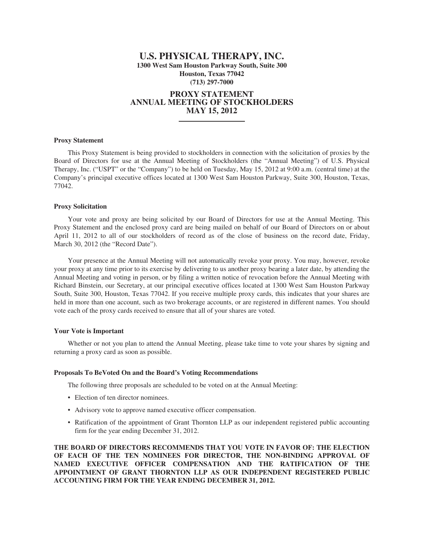# **U.S. PHYSICAL THERAPY, INC. 1300 West Sam Houston Parkway South, Suite 300 Houston, Texas 77042 (713) 297-7000**

# **PROXY STATEMENT ANNUAL MEETING OF STOCKHOLDERS MAY 15, 2012**

### **Proxy Statement**

This Proxy Statement is being provided to stockholders in connection with the solicitation of proxies by the Board of Directors for use at the Annual Meeting of Stockholders (the "Annual Meeting") of U.S. Physical Therapy, Inc. ("USPT" or the "Company") to be held on Tuesday, May 15, 2012 at 9:00 a.m. (central time) at the Company's principal executive offices located at 1300 West Sam Houston Parkway, Suite 300, Houston, Texas, 77042.

### **Proxy Solicitation**

Your vote and proxy are being solicited by our Board of Directors for use at the Annual Meeting. This Proxy Statement and the enclosed proxy card are being mailed on behalf of our Board of Directors on or about April 11, 2012 to all of our stockholders of record as of the close of business on the record date, Friday, March 30, 2012 (the "Record Date").

Your presence at the Annual Meeting will not automatically revoke your proxy. You may, however, revoke your proxy at any time prior to its exercise by delivering to us another proxy bearing a later date, by attending the Annual Meeting and voting in person, or by filing a written notice of revocation before the Annual Meeting with Richard Binstein, our Secretary, at our principal executive offices located at 1300 West Sam Houston Parkway South, Suite 300, Houston, Texas 77042. If you receive multiple proxy cards, this indicates that your shares are held in more than one account, such as two brokerage accounts, or are registered in different names. You should vote each of the proxy cards received to ensure that all of your shares are voted.

### **Your Vote is Important**

Whether or not you plan to attend the Annual Meeting, please take time to vote your shares by signing and returning a proxy card as soon as possible.

### **Proposals To BeVoted On and the Board's Voting Recommendations**

The following three proposals are scheduled to be voted on at the Annual Meeting:

- Election of ten director nominees.
- Advisory vote to approve named executive officer compensation.
- Ratification of the appointment of Grant Thornton LLP as our independent registered public accounting firm for the year ending December 31, 2012.

**THE BOARD OF DIRECTORS RECOMMENDS THAT YOU VOTE IN FAVOR OF: THE ELECTION OF EACH OF THE TEN NOMINEES FOR DIRECTOR, THE NON-BINDING APPROVAL OF NAMED EXECUTIVE OFFICER COMPENSATION AND THE RATIFICATION OF THE APPOINTMENT OF GRANT THORNTON LLP AS OUR INDEPENDENT REGISTERED PUBLIC ACCOUNTING FIRM FOR THE YEAR ENDING DECEMBER 31, 2012.**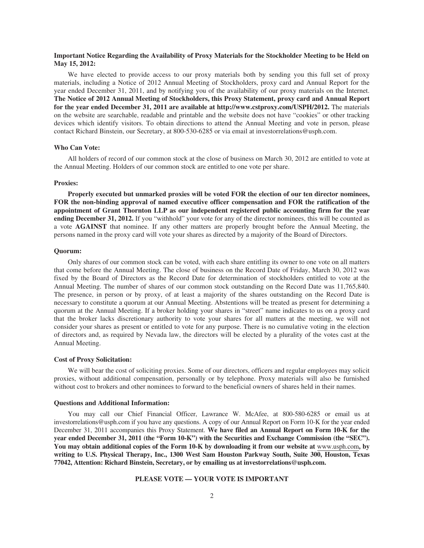## **Important Notice Regarding the Availability of Proxy Materials for the Stockholder Meeting to be Held on May 15, 2012:**

We have elected to provide access to our proxy materials both by sending you this full set of proxy materials, including a Notice of 2012 Annual Meeting of Stockholders, proxy card and Annual Report for the year ended December 31, 2011, and by notifying you of the availability of our proxy materials on the Internet. **The Notice of 2012 Annual Meeting of Stockholders, this Proxy Statement, proxy card and Annual Report for the year ended December 31, 2011 are available at http://www.cstproxy.com/USPH/2012.** The materials on the website are searchable, readable and printable and the website does not have "cookies" or other tracking devices which identify visitors. To obtain directions to attend the Annual Meeting and vote in person, please contact Richard Binstein, our Secretary, at 800-530-6285 or via email at investorrelations@usph.com.

### **Who Can Vote:**

All holders of record of our common stock at the close of business on March 30, 2012 are entitled to vote at the Annual Meeting. Holders of our common stock are entitled to one vote per share.

### **Proxies:**

**Properly executed but unmarked proxies will be voted FOR the election of our ten director nominees, FOR the non-binding approval of named executive officer compensation and FOR the ratification of the appointment of Grant Thornton LLP as our independent registered public accounting firm for the year ending December 31, 2012.** If you "withhold" your vote for any of the director nominees, this will be counted as a vote **AGAINST** that nominee. If any other matters are properly brought before the Annual Meeting, the persons named in the proxy card will vote your shares as directed by a majority of the Board of Directors.

### **Quorum:**

Only shares of our common stock can be voted, with each share entitling its owner to one vote on all matters that come before the Annual Meeting. The close of business on the Record Date of Friday, March 30, 2012 was fixed by the Board of Directors as the Record Date for determination of stockholders entitled to vote at the Annual Meeting. The number of shares of our common stock outstanding on the Record Date was 11,765,840. The presence, in person or by proxy, of at least a majority of the shares outstanding on the Record Date is necessary to constitute a quorum at our Annual Meeting. Abstentions will be treated as present for determining a quorum at the Annual Meeting. If a broker holding your shares in "street" name indicates to us on a proxy card that the broker lacks discretionary authority to vote your shares for all matters at the meeting, we will not consider your shares as present or entitled to vote for any purpose. There is no cumulative voting in the election of directors and, as required by Nevada law, the directors will be elected by a plurality of the votes cast at the Annual Meeting.

#### **Cost of Proxy Solicitation:**

We will bear the cost of soliciting proxies. Some of our directors, officers and regular employees may solicit proxies, without additional compensation, personally or by telephone. Proxy materials will also be furnished without cost to brokers and other nominees to forward to the beneficial owners of shares held in their names.

#### **Questions and Additional Information:**

You may call our Chief Financial Officer, Lawrance W. McAfee, at 800-580-6285 or email us at investorrelations@usph.com if you have any questions. A copy of our Annual Report on Form 10-K for the year ended December 31, 2011 accompanies this Proxy Statement. **We have filed an Annual Report on Form 10-K for the year ended December 31, 2011 (the "Form 10-K") with the Securities and Exchange Commission (the "SEC"). You may obtain additional copies of the Form 10-K by downloading it from our website at** www.usph.com**, by writing to U.S. Physical Therapy, Inc., 1300 West Sam Houston Parkway South, Suite 300, Houston, Texas 77042, Attention: Richard Binstein, Secretary, or by emailing us at investorrelations@usph.com.**

# **PLEASE VOTE — YOUR VOTE IS IMPORTANT**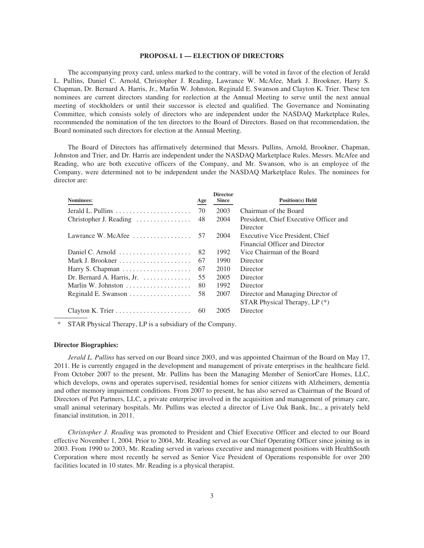### **PROPOSAL 1 — ELECTION OF DIRECTORS**

The accompanying proxy card, unless marked to the contrary, will be voted in favor of the election of Jerald L. Pullins, Daniel C. Arnold, Christopher J. Reading, Lawrance W. McAfee, Mark J. Brookner, Harry S. Chapman, Dr. Bernard A. Harris, Jr., Marlin W. Johnston, Reginald E. Swanson and Clayton K. Trier. These ten nominees are current directors standing for reelection at the Annual Meeting to serve until the next annual meeting of stockholders or until their successor is elected and qualified. The Governance and Nominating Committee, which consists solely of directors who are independent under the NASDAQ Marketplace Rules, recommended the nomination of the ten directors to the Board of Directors. Based on that recommendation, the Board nominated such directors for election at the Annual Meeting.

The Board of Directors has affirmatively determined that Messrs. Pullins, Arnold, Brookner, Chapman, Johnston and Trier, and Dr. Harris are independent under the NASDAQ Marketplace Rules. Messrs. McAfee and Reading, who are both executive officers of the Company, and Mr. Swanson, who is an employee of the Company, were determined not to be independent under the NASDAQ Marketplace Rules. The nominees for director are:

|                                                       |     | <b>Director</b> |                                        |
|-------------------------------------------------------|-----|-----------------|----------------------------------------|
| Nominees:                                             | Age | <b>Since</b>    | <b>Position(s)</b> Held                |
|                                                       | 70  | 2003            | Chairman of the Board                  |
| Christopher J. Reading                                | 48  | 2004            | President, Chief Executive Officer and |
|                                                       |     |                 | Director                               |
| Lawrance W. McAfee $\dots \dots \dots \dots \dots$ 57 |     | 2004            | Executive Vice President, Chief        |
|                                                       |     |                 | Financial Officer and Director         |
| Daniel C. Arnold                                      | 82  | 1992            | Vice Chairman of the Board             |
|                                                       | 67  | 1990            | Director                               |
|                                                       | 67  | 2010            | Director                               |
| Dr. Bernard A. Harris, Jr. $\dots \dots \dots$        | 55  | 2005            | Director                               |
| Marlin W. Johnston                                    | 80  | 1992            | Director                               |
|                                                       | 58  | 2007            | Director and Managing Director of      |
|                                                       |     |                 | STAR Physical Therapy, LP (*)          |
|                                                       | 60  | 2005            | Director                               |

STAR Physical Therapy, LP is a subsidiary of the Company.

#### **Director Biographies:**

*Jerald L. Pullins* has served on our Board since 2003, and was appointed Chairman of the Board on May 17, 2011. He is currently engaged in the development and management of private enterprises in the healthcare field. From October 2007 to the present, Mr. Pullins has been the Managing Member of SeniorCare Homes, LLC, which develops, owns and operates supervised, residential homes for senior citizens with Alzheimers, dementia and other memory impairment conditions. From 2007 to present, he has also served as Chairman of the Board of Directors of Pet Partners, LLC, a private enterprise involved in the acquisition and management of primary care, small animal veterinary hospitals. Mr. Pullins was elected a director of Live Oak Bank, Inc., a privately held financial institution, in 2011.

*Christopher J. Reading* was promoted to President and Chief Executive Officer and elected to our Board effective November 1, 2004. Prior to 2004, Mr. Reading served as our Chief Operating Officer since joining us in 2003. From 1990 to 2003, Mr. Reading served in various executive and management positions with HealthSouth Corporation where most recently he served as Senior Vice President of Operations responsible for over 200 facilities located in 10 states. Mr. Reading is a physical therapist.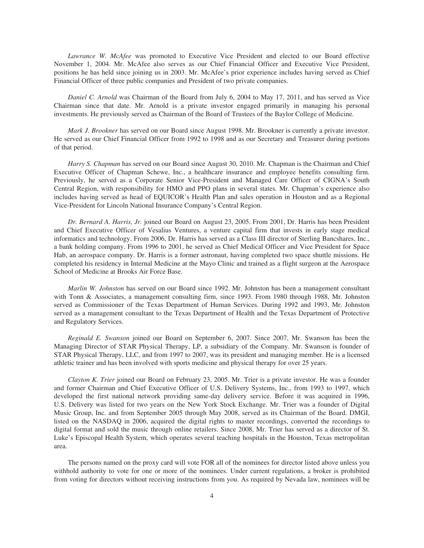*Lawrance W. McAfee* was promoted to Executive Vice President and elected to our Board effective November 1, 2004. Mr. McAfee also serves as our Chief Financial Officer and Executive Vice President, positions he has held since joining us in 2003. Mr. McAfee's prior experience includes having served as Chief Financial Officer of three public companies and President of two private companies.

*Daniel C. Arnold* was Chairman of the Board from July 6, 2004 to May 17, 2011, and has served as Vice Chairman since that date. Mr. Arnold is a private investor engaged primarily in managing his personal investments. He previously served as Chairman of the Board of Trustees of the Baylor College of Medicine.

*Mark J. Brookner* has served on our Board since August 1998. Mr. Brookner is currently a private investor. He served as our Chief Financial Officer from 1992 to 1998 and as our Secretary and Treasurer during portions of that period.

*Harry S. Chapman* has served on our Board since August 30, 2010. Mr. Chapman is the Chairman and Chief Executive Officer of Chapman Schewe, Inc., a healthcare insurance and employee benefits consulting firm. Previously, he served as a Corporate Senior Vice-President and Managed Care Officer of CIGNA's South Central Region, with responsibility for HMO and PPO plans in several states. Mr. Chapman's experience also includes having served as head of EQUICOR's Health Plan and sales operation in Houston and as a Regional Vice-President for Lincoln National Insurance Company's Central Region.

*Dr. Bernard A. Harris, Jr.* joined our Board on August 23, 2005. From 2001, Dr. Harris has been President and Chief Executive Officer of Vesalius Ventures, a venture capital firm that invests in early stage medical informatics and technology. From 2006, Dr. Harris has served as a Class III director of Sterling Bancshares, Inc., a bank holding company. From 1996 to 2001, he served as Chief Medical Officer and Vice President for Space Hab, an aerospace company. Dr. Harris is a former astronaut, having completed two space shuttle missions. He completed his residency in Internal Medicine at the Mayo Clinic and trained as a flight surgeon at the Aerospace School of Medicine at Brooks Air Force Base.

*Marlin W. Johnston* has served on our Board since 1992. Mr. Johnston has been a management consultant with Tonn & Associates, a management consulting firm, since 1993. From 1980 through 1988, Mr. Johnston served as Commissioner of the Texas Department of Human Services. During 1992 and 1993, Mr. Johnston served as a management consultant to the Texas Department of Health and the Texas Department of Protective and Regulatory Services.

*Reginald E. Swanson* joined our Board on September 6, 2007. Since 2007, Mr. Swanson has been the Managing Director of STAR Physical Therapy, LP, a subsidiary of the Company. Mr. Swanson is founder of STAR Physical Therapy, LLC, and from 1997 to 2007, was its president and managing member. He is a licensed athletic trainer and has been involved with sports medicine and physical therapy for over 25 years.

*Clayton K. Trier* joined our Board on February 23, 2005. Mr. Trier is a private investor. He was a founder and former Chairman and Chief Executive Officer of U.S. Delivery Systems, Inc., from 1993 to 1997, which developed the first national network providing same-day delivery service. Before it was acquired in 1996, U.S. Delivery was listed for two years on the New York Stock Exchange. Mr. Trier was a founder of Digital Music Group, Inc. and from September 2005 through May 2008, served as its Chairman of the Board. DMGI, listed on the NASDAQ in 2006, acquired the digital rights to master recordings, converted the recordings to digital format and sold the music through online retailers. Since 2008, Mr. Trier has served as a director of St. Luke's Episcopal Health System, which operates several teaching hospitals in the Houston, Texas metropolitan area.

The persons named on the proxy card will vote FOR all of the nominees for director listed above unless you withhold authority to vote for one or more of the nominees. Under current regulations, a broker is prohibited from voting for directors without receiving instructions from you. As required by Nevada law, nominees will be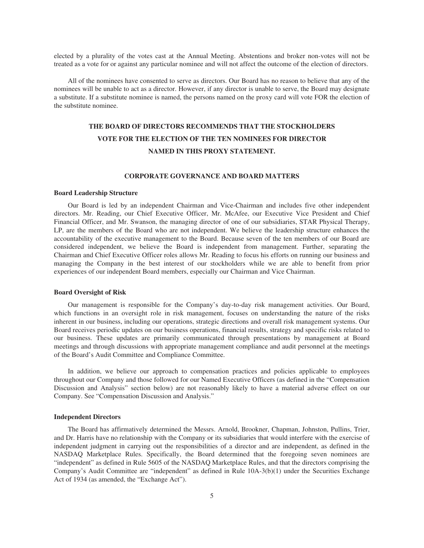elected by a plurality of the votes cast at the Annual Meeting. Abstentions and broker non-votes will not be treated as a vote for or against any particular nominee and will not affect the outcome of the election of directors.

All of the nominees have consented to serve as directors. Our Board has no reason to believe that any of the nominees will be unable to act as a director. However, if any director is unable to serve, the Board may designate a substitute. If a substitute nominee is named, the persons named on the proxy card will vote FOR the election of the substitute nominee.

# **THE BOARD OF DIRECTORS RECOMMENDS THAT THE STOCKHOLDERS VOTE FOR THE ELECTION OF THE TEN NOMINEES FOR DIRECTOR NAMED IN THIS PROXY STATEMENT.**

### **CORPORATE GOVERNANCE AND BOARD MATTERS**

### **Board Leadership Structure**

Our Board is led by an independent Chairman and Vice-Chairman and includes five other independent directors. Mr. Reading, our Chief Executive Officer, Mr. McAfee, our Executive Vice President and Chief Financial Officer, and Mr. Swanson, the managing director of one of our subsidiaries, STAR Physical Therapy, LP, are the members of the Board who are not independent. We believe the leadership structure enhances the accountability of the executive management to the Board. Because seven of the ten members of our Board are considered independent, we believe the Board is independent from management. Further, separating the Chairman and Chief Executive Officer roles allows Mr. Reading to focus his efforts on running our business and managing the Company in the best interest of our stockholders while we are able to benefit from prior experiences of our independent Board members, especially our Chairman and Vice Chairman.

### **Board Oversight of Risk**

Our management is responsible for the Company's day-to-day risk management activities. Our Board, which functions in an oversight role in risk management, focuses on understanding the nature of the risks inherent in our business, including our operations, strategic directions and overall risk management systems. Our Board receives periodic updates on our business operations, financial results, strategy and specific risks related to our business. These updates are primarily communicated through presentations by management at Board meetings and through discussions with appropriate management compliance and audit personnel at the meetings of the Board's Audit Committee and Compliance Committee.

In addition, we believe our approach to compensation practices and policies applicable to employees throughout our Company and those followed for our Named Executive Officers (as defined in the "Compensation Discussion and Analysis" section below) are not reasonably likely to have a material adverse effect on our Company. See "Compensation Discussion and Analysis."

#### **Independent Directors**

The Board has affirmatively determined the Messrs. Arnold, Brookner, Chapman, Johnston, Pullins, Trier, and Dr. Harris have no relationship with the Company or its subsidiaries that would interfere with the exercise of independent judgment in carrying out the responsibilities of a director and are independent, as defined in the NASDAQ Marketplace Rules. Specifically, the Board determined that the foregoing seven nominees are "independent" as defined in Rule 5605 of the NASDAQ Marketplace Rules, and that the directors comprising the Company's Audit Committee are "independent" as defined in Rule 10A-3(b)(1) under the Securities Exchange Act of 1934 (as amended, the "Exchange Act").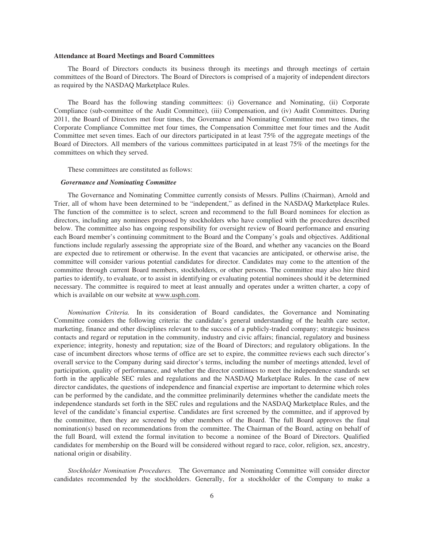### **Attendance at Board Meetings and Board Committees**

The Board of Directors conducts its business through its meetings and through meetings of certain committees of the Board of Directors. The Board of Directors is comprised of a majority of independent directors as required by the NASDAQ Marketplace Rules.

The Board has the following standing committees: (i) Governance and Nominating, (ii) Corporate Compliance (sub-committee of the Audit Committee), (iii) Compensation, and (iv) Audit Committees. During 2011, the Board of Directors met four times, the Governance and Nominating Committee met two times, the Corporate Compliance Committee met four times, the Compensation Committee met four times and the Audit Committee met seven times. Each of our directors participated in at least 75% of the aggregate meetings of the Board of Directors. All members of the various committees participated in at least 75% of the meetings for the committees on which they served.

These committees are constituted as follows:

### *Governance and Nominating Committee*

The Governance and Nominating Committee currently consists of Messrs. Pullins (Chairman), Arnold and Trier, all of whom have been determined to be "independent," as defined in the NASDAQ Marketplace Rules. The function of the committee is to select, screen and recommend to the full Board nominees for election as directors, including any nominees proposed by stockholders who have complied with the procedures described below. The committee also has ongoing responsibility for oversight review of Board performance and ensuring each Board member's continuing commitment to the Board and the Company's goals and objectives. Additional functions include regularly assessing the appropriate size of the Board, and whether any vacancies on the Board are expected due to retirement or otherwise. In the event that vacancies are anticipated, or otherwise arise, the committee will consider various potential candidates for director. Candidates may come to the attention of the committee through current Board members, stockholders, or other persons. The committee may also hire third parties to identify, to evaluate, or to assist in identifying or evaluating potential nominees should it be determined necessary. The committee is required to meet at least annually and operates under a written charter, a copy of which is available on our website at www.usph.com.

*Nomination Criteria.* In its consideration of Board candidates, the Governance and Nominating Committee considers the following criteria: the candidate's general understanding of the health care sector, marketing, finance and other disciplines relevant to the success of a publicly-traded company; strategic business contacts and regard or reputation in the community, industry and civic affairs; financial, regulatory and business experience; integrity, honesty and reputation; size of the Board of Directors; and regulatory obligations. In the case of incumbent directors whose terms of office are set to expire, the committee reviews each such director's overall service to the Company during said director's terms, including the number of meetings attended, level of participation, quality of performance, and whether the director continues to meet the independence standards set forth in the applicable SEC rules and regulations and the NASDAQ Marketplace Rules. In the case of new director candidates, the questions of independence and financial expertise are important to determine which roles can be performed by the candidate, and the committee preliminarily determines whether the candidate meets the independence standards set forth in the SEC rules and regulations and the NASDAQ Marketplace Rules, and the level of the candidate's financial expertise. Candidates are first screened by the committee, and if approved by the committee, then they are screened by other members of the Board. The full Board approves the final nomination(s) based on recommendations from the committee. The Chairman of the Board, acting on behalf of the full Board, will extend the formal invitation to become a nominee of the Board of Directors. Qualified candidates for membership on the Board will be considered without regard to race, color, religion, sex, ancestry, national origin or disability.

*Stockholder Nomination Procedures.* The Governance and Nominating Committee will consider director candidates recommended by the stockholders. Generally, for a stockholder of the Company to make a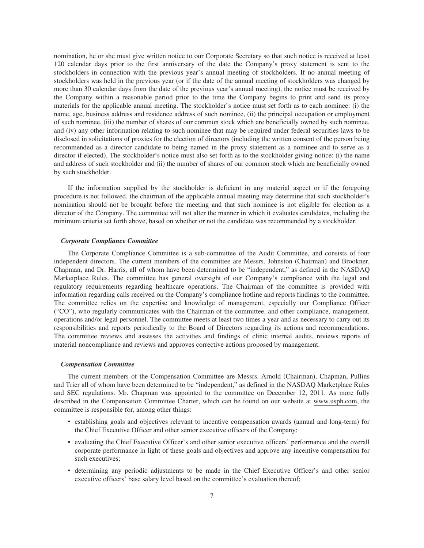nomination, he or she must give written notice to our Corporate Secretary so that such notice is received at least 120 calendar days prior to the first anniversary of the date the Company's proxy statement is sent to the stockholders in connection with the previous year's annual meeting of stockholders. If no annual meeting of stockholders was held in the previous year (or if the date of the annual meeting of stockholders was changed by more than 30 calendar days from the date of the previous year's annual meeting), the notice must be received by the Company within a reasonable period prior to the time the Company begins to print and send its proxy materials for the applicable annual meeting. The stockholder's notice must set forth as to each nominee: (i) the name, age, business address and residence address of such nominee, (ii) the principal occupation or employment of such nominee, (iii) the number of shares of our common stock which are beneficially owned by such nominee, and (iv) any other information relating to such nominee that may be required under federal securities laws to be disclosed in solicitations of proxies for the election of directors (including the written consent of the person being recommended as a director candidate to being named in the proxy statement as a nominee and to serve as a director if elected). The stockholder's notice must also set forth as to the stockholder giving notice: (i) the name and address of such stockholder and (ii) the number of shares of our common stock which are beneficially owned by such stockholder.

If the information supplied by the stockholder is deficient in any material aspect or if the foregoing procedure is not followed, the chairman of the applicable annual meeting may determine that such stockholder's nomination should not be brought before the meeting and that such nominee is not eligible for election as a director of the Company. The committee will not alter the manner in which it evaluates candidates, including the minimum criteria set forth above, based on whether or not the candidate was recommended by a stockholder.

### *Corporate Compliance Committee*

The Corporate Compliance Committee is a sub-committee of the Audit Committee, and consists of four independent directors. The current members of the committee are Messrs. Johnston (Chairman) and Brookner, Chapman, and Dr. Harris, all of whom have been determined to be "independent," as defined in the NASDAQ Marketplace Rules. The committee has general oversight of our Company's compliance with the legal and regulatory requirements regarding healthcare operations. The Chairman of the committee is provided with information regarding calls received on the Company's compliance hotline and reports findings to the committee. The committee relies on the expertise and knowledge of management, especially our Compliance Officer ("CO"), who regularly communicates with the Chairman of the committee, and other compliance, management, operations and/or legal personnel. The committee meets at least two times a year and as necessary to carry out its responsibilities and reports periodically to the Board of Directors regarding its actions and recommendations. The committee reviews and assesses the activities and findings of clinic internal audits, reviews reports of material noncompliance and reviews and approves corrective actions proposed by management.

#### *Compensation Committee*

The current members of the Compensation Committee are Messrs. Arnold (Chairman), Chapman, Pullins and Trier all of whom have been determined to be "independent," as defined in the NASDAQ Marketplace Rules and SEC regulations. Mr. Chapman was appointed to the committee on December 12, 2011. As more fully described in the Compensation Committee Charter, which can be found on our website at www.usph.com, the committee is responsible for, among other things:

- establishing goals and objectives relevant to incentive compensation awards (annual and long-term) for the Chief Executive Officer and other senior executive officers of the Company;
- evaluating the Chief Executive Officer's and other senior executive officers' performance and the overall corporate performance in light of these goals and objectives and approve any incentive compensation for such executives;
- determining any periodic adjustments to be made in the Chief Executive Officer's and other senior executive officers' base salary level based on the committee's evaluation thereof;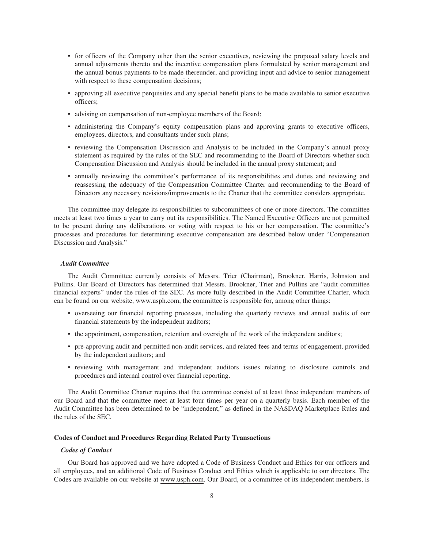- for officers of the Company other than the senior executives, reviewing the proposed salary levels and annual adjustments thereto and the incentive compensation plans formulated by senior management and the annual bonus payments to be made thereunder, and providing input and advice to senior management with respect to these compensation decisions;
- approving all executive perquisites and any special benefit plans to be made available to senior executive officers;
- advising on compensation of non-employee members of the Board;
- administering the Company's equity compensation plans and approving grants to executive officers, employees, directors, and consultants under such plans;
- reviewing the Compensation Discussion and Analysis to be included in the Company's annual proxy statement as required by the rules of the SEC and recommending to the Board of Directors whether such Compensation Discussion and Analysis should be included in the annual proxy statement; and
- annually reviewing the committee's performance of its responsibilities and duties and reviewing and reassessing the adequacy of the Compensation Committee Charter and recommending to the Board of Directors any necessary revisions/improvements to the Charter that the committee considers appropriate.

The committee may delegate its responsibilities to subcommittees of one or more directors. The committee meets at least two times a year to carry out its responsibilities. The Named Executive Officers are not permitted to be present during any deliberations or voting with respect to his or her compensation. The committee's processes and procedures for determining executive compensation are described below under "Compensation Discussion and Analysis."

# *Audit Committee*

The Audit Committee currently consists of Messrs. Trier (Chairman), Brookner, Harris, Johnston and Pullins. Our Board of Directors has determined that Messrs. Brookner, Trier and Pullins are "audit committee financial experts" under the rules of the SEC. As more fully described in the Audit Committee Charter, which can be found on our website, www.usph.com, the committee is responsible for, among other things:

- overseeing our financial reporting processes, including the quarterly reviews and annual audits of our financial statements by the independent auditors;
- the appointment, compensation, retention and oversight of the work of the independent auditors;
- pre-approving audit and permitted non-audit services, and related fees and terms of engagement, provided by the independent auditors; and
- reviewing with management and independent auditors issues relating to disclosure controls and procedures and internal control over financial reporting.

The Audit Committee Charter requires that the committee consist of at least three independent members of our Board and that the committee meet at least four times per year on a quarterly basis. Each member of the Audit Committee has been determined to be "independent," as defined in the NASDAQ Marketplace Rules and the rules of the SEC.

### **Codes of Conduct and Procedures Regarding Related Party Transactions**

### *Codes of Conduct*

Our Board has approved and we have adopted a Code of Business Conduct and Ethics for our officers and all employees, and an additional Code of Business Conduct and Ethics which is applicable to our directors. The Codes are available on our website at www.usph.com. Our Board, or a committee of its independent members, is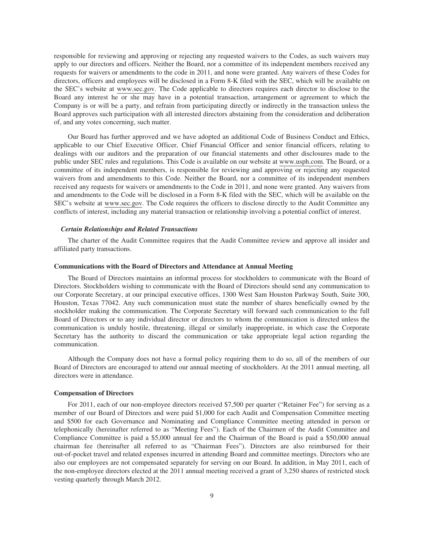responsible for reviewing and approving or rejecting any requested waivers to the Codes, as such waivers may apply to our directors and officers. Neither the Board, nor a committee of its independent members received any requests for waivers or amendments to the code in 2011, and none were granted. Any waivers of these Codes for directors, officers and employees will be disclosed in a Form 8-K filed with the SEC, which will be available on the SEC's website at www.sec.gov. The Code applicable to directors requires each director to disclose to the Board any interest he or she may have in a potential transaction, arrangement or agreement to which the Company is or will be a party, and refrain from participating directly or indirectly in the transaction unless the Board approves such participation with all interested directors abstaining from the consideration and deliberation of, and any votes concerning, such matter.

Our Board has further approved and we have adopted an additional Code of Business Conduct and Ethics, applicable to our Chief Executive Officer, Chief Financial Officer and senior financial officers, relating to dealings with our auditors and the preparation of our financial statements and other disclosures made to the public under SEC rules and regulations. This Code is available on our website at www.usph.com. The Board, or a committee of its independent members, is responsible for reviewing and approving or rejecting any requested waivers from and amendments to this Code. Neither the Board, nor a committee of its independent members received any requests for waivers or amendments to the Code in 2011, and none were granted. Any waivers from and amendments to the Code will be disclosed in a Form 8-K filed with the SEC, which will be available on the SEC's website at www.sec.gov. The Code requires the officers to disclose directly to the Audit Committee any conflicts of interest, including any material transaction or relationship involving a potential conflict of interest.

### *Certain Relationships and Related Transactions*

The charter of the Audit Committee requires that the Audit Committee review and approve all insider and affiliated party transactions.

### **Communications with the Board of Directors and Attendance at Annual Meeting**

The Board of Directors maintains an informal process for stockholders to communicate with the Board of Directors. Stockholders wishing to communicate with the Board of Directors should send any communication to our Corporate Secretary, at our principal executive offices, 1300 West Sam Houston Parkway South, Suite 300, Houston, Texas 77042. Any such communication must state the number of shares beneficially owned by the stockholder making the communication. The Corporate Secretary will forward such communication to the full Board of Directors or to any individual director or directors to whom the communication is directed unless the communication is unduly hostile, threatening, illegal or similarly inappropriate, in which case the Corporate Secretary has the authority to discard the communication or take appropriate legal action regarding the communication.

Although the Company does not have a formal policy requiring them to do so, all of the members of our Board of Directors are encouraged to attend our annual meeting of stockholders. At the 2011 annual meeting, all directors were in attendance.

#### **Compensation of Directors**

For 2011, each of our non-employee directors received \$7,500 per quarter ("Retainer Fee") for serving as a member of our Board of Directors and were paid \$1,000 for each Audit and Compensation Committee meeting and \$500 for each Governance and Nominating and Compliance Committee meeting attended in person or telephonically (hereinafter referred to as "Meeting Fees"). Each of the Chairmen of the Audit Committee and Compliance Committee is paid a \$5,000 annual fee and the Chairman of the Board is paid a \$50,000 annual chairman fee (hereinafter all referred to as "Chairman Fees"). Directors are also reimbursed for their out-of-pocket travel and related expenses incurred in attending Board and committee meetings. Directors who are also our employees are not compensated separately for serving on our Board. In addition, in May 2011, each of the non-employee directors elected at the 2011 annual meeting received a grant of 3,250 shares of restricted stock vesting quarterly through March 2012.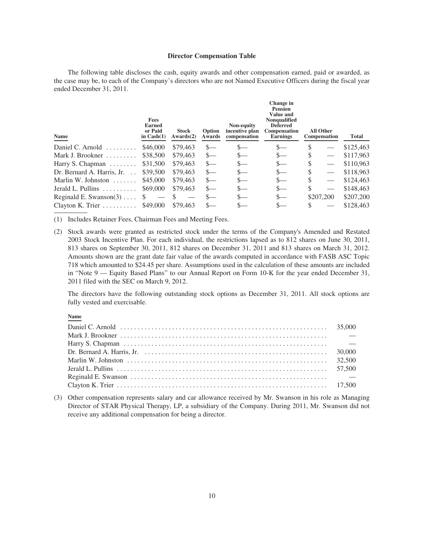### **Director Compensation Table**

The following table discloses the cash, equity awards and other compensation earned, paid or awarded, as the case may be, to each of the Company's directors who are not Named Executive Officers during the fiscal year ended December 31, 2011.

| <b>Fees</b><br><b>Earned</b><br>or Paid<br>in $Cash(1)$ | <b>Stock</b><br>Awards(2) | Option<br>Awards | Non-equity<br>incentive plan<br>compensation | Change in<br><b>Pension</b><br><b>Value and</b><br><b>Nonqualified</b><br><b>Deferred</b><br>Compensation<br><b>Earnings</b> |    | Total                                         |
|---------------------------------------------------------|---------------------------|------------------|----------------------------------------------|------------------------------------------------------------------------------------------------------------------------------|----|-----------------------------------------------|
| \$46,000                                                | \$79,463                  | $S-$             | $S-$                                         | $S-$                                                                                                                         | S  | \$125,463                                     |
| \$38,500                                                | \$79,463                  | $S-$             | S—                                           | $S-$                                                                                                                         | \$ | \$117,963                                     |
| \$31,500                                                | \$79,463                  | $S-$             | $S-$                                         | $S-$                                                                                                                         | \$ | \$110,963                                     |
| \$39,500                                                | \$79,463                  | $S-$             |                                              | $S-$                                                                                                                         | S  | \$118,963                                     |
| \$45,000                                                | \$79,463                  | $S-$             |                                              | $S-$                                                                                                                         | S  | \$124,463                                     |
| \$69,000                                                | \$79,463                  | $S-$             | $S-$                                         | $S-$                                                                                                                         | S  | \$148,463                                     |
|                                                         |                           | $S-$             | $S-$                                         | $\mathbf{S}$                                                                                                                 |    | \$207,200                                     |
| Clayton K. Trier $\dots\dots\dots$<br>\$49,000          | \$79,463                  | $S-$             | S—                                           |                                                                                                                              |    | \$128,463                                     |
|                                                         |                           |                  |                                              |                                                                                                                              |    | <b>All Other</b><br>Compensation<br>\$207,200 |

(1) Includes Retainer Fees, Chairman Fees and Meeting Fees.

(2) Stock awards were granted as restricted stock under the terms of the Company's Amended and Restated 2003 Stock Incentive Plan. For each individual, the restrictions lapsed as to 812 shares on June 30, 2011, 813 shares on September 30, 2011, 812 shares on December 31, 2011 and 813 shares on March 31, 2012. Amounts shown are the grant date fair value of the awards computed in accordance with FASB ASC Topic 718 which amounted to \$24.45 per share. Assumptions used in the calculation of these amounts are included in "Note 9 — Equity Based Plans" to our Annual Report on Form 10-K for the year ended December 31, 2011 filed with the SEC on March 9, 2012.

The directors have the following outstanding stock options as December 31, 2011. All stock options are fully vested and exercisable.

# **Name**

(3) Other compensation represents salary and car allowance received by Mr. Swanson in his role as Managing Director of STAR Physical Therapy, LP, a subsidiary of the Company. During 2011, Mr. Swanson did not receive any additional compensation for being a director.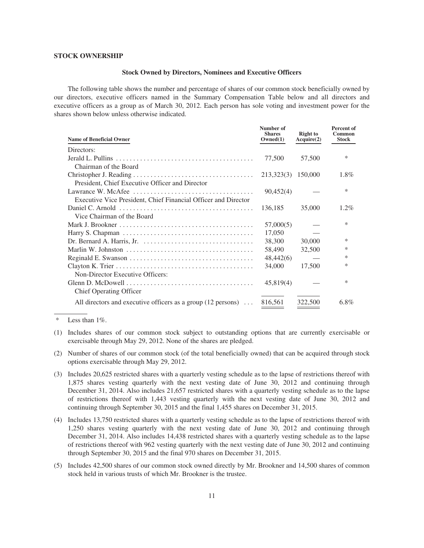### **STOCK OWNERSHIP**

### **Stock Owned by Directors, Nominees and Executive Officers**

The following table shows the number and percentage of shares of our common stock beneficially owned by our directors, executive officers named in the Summary Compensation Table below and all directors and executive officers as a group as of March 30, 2012. Each person has sole voting and investment power for the shares shown below unless otherwise indicated.

| <b>Name of Beneficial Owner</b>                                        | Number of<br><b>Shares</b><br>Owned(1) | <b>Right to</b><br>Acquire(2) | <b>Percent of</b><br>Common<br><b>Stock</b> |
|------------------------------------------------------------------------|----------------------------------------|-------------------------------|---------------------------------------------|
| Directors:                                                             |                                        |                               |                                             |
|                                                                        | 77,500                                 | 57,500                        | *                                           |
| Chairman of the Board                                                  |                                        |                               |                                             |
|                                                                        | 213,323(3)                             | 150,000                       | 1.8%                                        |
| President, Chief Executive Officer and Director                        |                                        |                               |                                             |
|                                                                        | 90,452(4)                              |                               | ∗                                           |
| Executive Vice President, Chief Financial Officer and Director         |                                        |                               |                                             |
|                                                                        | 136,185                                | 35,000                        | 1.2%                                        |
| Vice Chairman of the Board                                             |                                        |                               |                                             |
|                                                                        | 57,000(5)                              |                               | *                                           |
|                                                                        | 17,050                                 |                               |                                             |
|                                                                        | 38,300                                 | 30,000                        | ∗                                           |
|                                                                        | 58,490                                 | 32,500                        | *                                           |
|                                                                        | 48,442(6)                              |                               | *                                           |
|                                                                        | 34,000                                 | 17,500                        | *                                           |
| Non-Director Executive Officers:                                       |                                        |                               |                                             |
|                                                                        | 45,819(4)                              |                               | *                                           |
| <b>Chief Operating Officer</b>                                         |                                        |                               |                                             |
| All directors and executive officers as a group $(12 \text{ persons})$ | 816.561                                | 322,500                       | $6.8\%$                                     |

Less than  $1\%$ .

- (2) Number of shares of our common stock (of the total beneficially owned) that can be acquired through stock options exercisable through May 29, 2012.
- (3) Includes 20,625 restricted shares with a quarterly vesting schedule as to the lapse of restrictions thereof with 1,875 shares vesting quarterly with the next vesting date of June 30, 2012 and continuing through December 31, 2014. Also includes 21,657 restricted shares with a quarterly vesting schedule as to the lapse of restrictions thereof with 1,443 vesting quarterly with the next vesting date of June 30, 2012 and continuing through September 30, 2015 and the final 1,455 shares on December 31, 2015.
- (4) Includes 13,750 restricted shares with a quarterly vesting schedule as to the lapse of restrictions thereof with 1,250 shares vesting quarterly with the next vesting date of June 30, 2012 and continuing through December 31, 2014. Also includes 14,438 restricted shares with a quarterly vesting schedule as to the lapse of restrictions thereof with 962 vesting quarterly with the next vesting date of June 30, 2012 and continuing through September 30, 2015 and the final 970 shares on December 31, 2015.
- (5) Includes 42,500 shares of our common stock owned directly by Mr. Brookner and 14,500 shares of common stock held in various trusts of which Mr. Brookner is the trustee.

<sup>(1)</sup> Includes shares of our common stock subject to outstanding options that are currently exercisable or exercisable through May 29, 2012. None of the shares are pledged.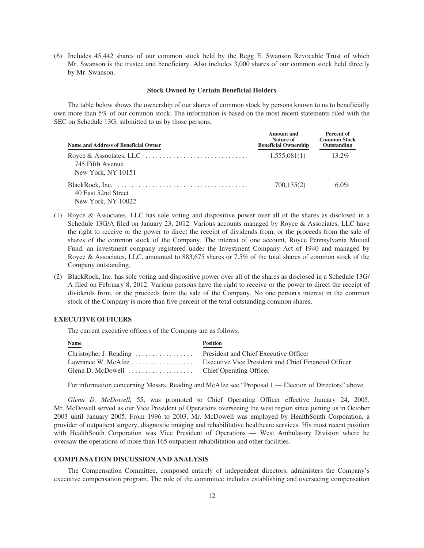(6) Includes 45,442 shares of our common stock held by the Regg E. Swanson Revocable Trust of which Mr. Swanson is the trustee and beneficiary. Also includes 3,000 shares of our common stock held directly by Mr. Swanson.

### **Stock Owned by Certain Beneficial Holders**

The table below shows the ownership of our shares of common stock by persons known to us to beneficially own more than 5% of our common stock. The information is based on the most recent statements filed with the SEC on Schedule 13G, submitted to us by those persons.

| Name and Address of Beneficial Owner      | Amount and<br>Nature of<br><b>Beneficial Ownership</b> | Percent of<br><b>Common Stock</b><br>Outstanding |
|-------------------------------------------|--------------------------------------------------------|--------------------------------------------------|
| 745 Fifth Avenue<br>New York, NY 10151    | 1,555,081(1)                                           | $13.2\%$                                         |
| 40 East 52nd Street<br>New York, NY 10022 | 700,135(2)                                             | $6.0\%$                                          |

- (1) Royce & Associates, LLC has sole voting and dispositive power over all of the shares as disclosed in a Schedule 13G/A filed on January 23, 2012. Various accounts managed by Royce & Associates, LLC have the right to receive or the power to direct the receipt of dividends from, or the proceeds from the sale of shares of the common stock of the Company. The interest of one account, Royce Pennsylvania Mutual Fund, an investment company registered under the Investment Company Act of 1940 and managed by Royce & Associates, LLC, amounted to 883,675 shares or 7.5% of the total shares of common stock of the Company outstanding.
- (2) BlackRock, Inc. has sole voting and dispositive power over all of the shares as disclosed in a Schedule 13G/ A filed on February 8, 2012. Various persons have the right to receive or the power to direct the receipt of dividends from, or the proceeds from the sale of the Company. No one person's interest in the common stock of the Company is more than five percent of the total outstanding common shares.

# **EXECUTIVE OFFICERS**

The current executive officers of the Company are as follows:

| <b>Name</b><br>____ | <b>Position</b>                                                         |
|---------------------|-------------------------------------------------------------------------|
|                     |                                                                         |
|                     | Lawrance W. McAfee Executive Vice President and Chief Financial Officer |
|                     |                                                                         |

For information concerning Messrs. Reading and McAfee see "Proposal 1 — Election of Directors" above.

*Glenn D. McDowell,* 55, was promoted to Chief Operating Officer effective January 24, 2005. Mr. McDowell served as our Vice President of Operations overseeing the west region since joining us in October 2003 until January 2005. From 1996 to 2003, Mr. McDowell was employed by HealthSouth Corporation, a provider of outpatient surgery, diagnostic imaging and rehabilitative healthcare services. His most recent position with HealthSouth Corporation was Vice President of Operations — West Ambulatory Division where he oversaw the operations of more than 165 outpatient rehabilitation and other facilities.

#### **COMPENSATION DISCUSSION AND ANALYSIS**

The Compensation Committee, composed entirely of independent directors, administers the Company's executive compensation program. The role of the committee includes establishing and overseeing compensation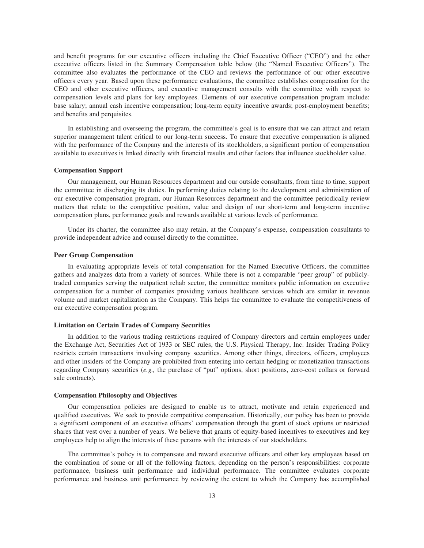and benefit programs for our executive officers including the Chief Executive Officer ("CEO") and the other executive officers listed in the Summary Compensation table below (the "Named Executive Officers"). The committee also evaluates the performance of the CEO and reviews the performance of our other executive officers every year. Based upon these performance evaluations, the committee establishes compensation for the CEO and other executive officers, and executive management consults with the committee with respect to compensation levels and plans for key employees. Elements of our executive compensation program include: base salary; annual cash incentive compensation; long-term equity incentive awards; post-employment benefits; and benefits and perquisites.

In establishing and overseeing the program, the committee's goal is to ensure that we can attract and retain superior management talent critical to our long-term success. To ensure that executive compensation is aligned with the performance of the Company and the interests of its stockholders, a significant portion of compensation available to executives is linked directly with financial results and other factors that influence stockholder value.

### **Compensation Support**

Our management, our Human Resources department and our outside consultants, from time to time, support the committee in discharging its duties. In performing duties relating to the development and administration of our executive compensation program, our Human Resources department and the committee periodically review matters that relate to the competitive position, value and design of our short-term and long-term incentive compensation plans, performance goals and rewards available at various levels of performance.

Under its charter, the committee also may retain, at the Company's expense, compensation consultants to provide independent advice and counsel directly to the committee.

### **Peer Group Compensation**

In evaluating appropriate levels of total compensation for the Named Executive Officers, the committee gathers and analyzes data from a variety of sources. While there is not a comparable "peer group" of publiclytraded companies serving the outpatient rehab sector, the committee monitors public information on executive compensation for a number of companies providing various healthcare services which are similar in revenue volume and market capitalization as the Company. This helps the committee to evaluate the competitiveness of our executive compensation program.

# **Limitation on Certain Trades of Company Securities**

In addition to the various trading restrictions required of Company directors and certain employees under the Exchange Act, Securities Act of 1933 or SEC rules, the U.S. Physical Therapy, Inc. Insider Trading Policy restricts certain transactions involving company securities. Among other things, directors, officers, employees and other insiders of the Company are prohibited from entering into certain hedging or monetization transactions regarding Company securities (*e.g.,* the purchase of "put" options, short positions, zero-cost collars or forward sale contracts).

#### **Compensation Philosophy and Objectives**

Our compensation policies are designed to enable us to attract, motivate and retain experienced and qualified executives. We seek to provide competitive compensation. Historically, our policy has been to provide a significant component of an executive officers' compensation through the grant of stock options or restricted shares that vest over a number of years. We believe that grants of equity-based incentives to executives and key employees help to align the interests of these persons with the interests of our stockholders.

The committee's policy is to compensate and reward executive officers and other key employees based on the combination of some or all of the following factors, depending on the person's responsibilities: corporate performance, business unit performance and individual performance. The committee evaluates corporate performance and business unit performance by reviewing the extent to which the Company has accomplished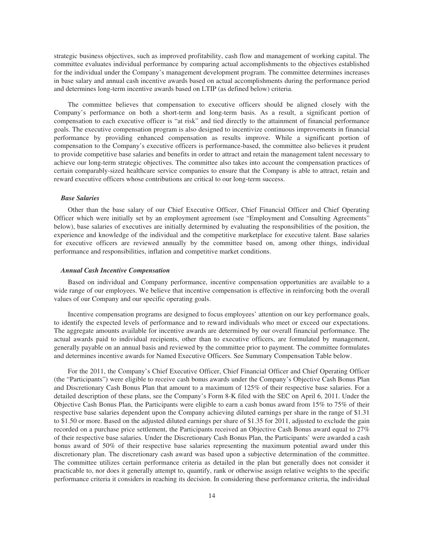strategic business objectives, such as improved profitability, cash flow and management of working capital. The committee evaluates individual performance by comparing actual accomplishments to the objectives established for the individual under the Company's management development program. The committee determines increases in base salary and annual cash incentive awards based on actual accomplishments during the performance period and determines long-term incentive awards based on LTIP (as defined below) criteria.

The committee believes that compensation to executive officers should be aligned closely with the Company's performance on both a short-term and long-term basis. As a result, a significant portion of compensation to each executive officer is "at risk" and tied directly to the attainment of financial performance goals. The executive compensation program is also designed to incentivize continuous improvements in financial performance by providing enhanced compensation as results improve. While a significant portion of compensation to the Company's executive officers is performance-based, the committee also believes it prudent to provide competitive base salaries and benefits in order to attract and retain the management talent necessary to achieve our long-term strategic objectives. The committee also takes into account the compensation practices of certain comparably-sized healthcare service companies to ensure that the Company is able to attract, retain and reward executive officers whose contributions are critical to our long-term success.

# *Base Salaries*

Other than the base salary of our Chief Executive Officer, Chief Financial Officer and Chief Operating Officer which were initially set by an employment agreement (see "Employment and Consulting Agreements" below), base salaries of executives are initially determined by evaluating the responsibilities of the position, the experience and knowledge of the individual and the competitive marketplace for executive talent. Base salaries for executive officers are reviewed annually by the committee based on, among other things, individual performance and responsibilities, inflation and competitive market conditions.

### *Annual Cash Incentive Compensation*

Based on individual and Company performance, incentive compensation opportunities are available to a wide range of our employees. We believe that incentive compensation is effective in reinforcing both the overall values of our Company and our specific operating goals.

Incentive compensation programs are designed to focus employees' attention on our key performance goals, to identify the expected levels of performance and to reward individuals who meet or exceed our expectations. The aggregate amounts available for incentive awards are determined by our overall financial performance. The actual awards paid to individual recipients, other than to executive officers, are formulated by management, generally payable on an annual basis and reviewed by the committee prior to payment. The committee formulates and determines incentive awards for Named Executive Officers. See Summary Compensation Table below.

For the 2011, the Company's Chief Executive Officer, Chief Financial Officer and Chief Operating Officer (the "Participants") were eligible to receive cash bonus awards under the Company's Objective Cash Bonus Plan and Discretionary Cash Bonus Plan that amount to a maximum of 125% of their respective base salaries. For a detailed description of these plans, see the Company's Form 8-K filed with the SEC on April 6, 2011. Under the Objective Cash Bonus Plan, the Participants were eligible to earn a cash bonus award from 15% to 75% of their respective base salaries dependent upon the Company achieving diluted earnings per share in the range of \$1.31 to \$1.50 or more. Based on the adjusted diluted earnings per share of \$1.35 for 2011, adjusted to exclude the gain recorded on a purchase price settlement, the Participants received an Objective Cash Bonus award equal to 27% of their respective base salaries. Under the Discretionary Cash Bonus Plan, the Participants' were awarded a cash bonus award of 50% of their respective base salaries representing the maximum potential award under this discretionary plan. The discretionary cash award was based upon a subjective determination of the committee. The committee utilizes certain performance criteria as detailed in the plan but generally does not consider it practicable to, nor does it generally attempt to, quantify, rank or otherwise assign relative weights to the specific performance criteria it considers in reaching its decision. In considering these performance criteria, the individual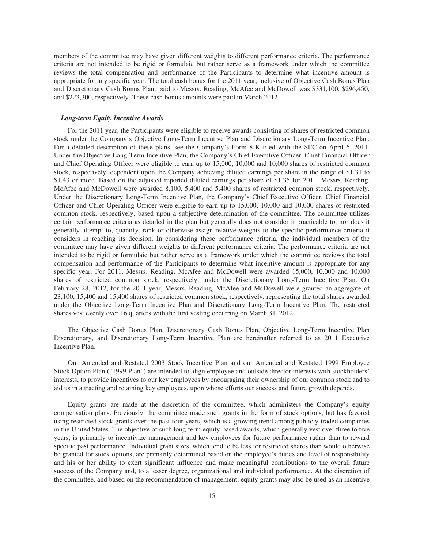members of the committee may have given different weights to different performance criteria. The performance criteria are not intended to be rigid or formulaic but rather serve as a framework under which the committee reviews the total compensation and performance of the Participants to determine what incentive amount is appropriate for any specific year. The total cash bonus for the 2011 year, inclusive of Objective Cash Bonus Plan and Discretionary Cash Bonus Plan, paid to Messrs. Reading, McAfee and McDowell was \$331,100, \$296,450, and \$223,300, respectively. These cash bonus amounts were paid in March 2012.

#### *Long-term Equity Incentive Awards*

For the 2011 year, the Participants were eligible to receive awards consisting of shares of restricted common stock under the Company's Objective Long-Term Incentive Plan and Discretionary Long-Term Incentive Plan. For a detailed description of these plans, see the Company's Form 8-K filed with the SEC on April 6, 2011. Under the Objective Long-Term Incentive Plan, the Company's Chief Executive Officer, Chief Financial Officer and Chief Operating Officer were eligible to earn up to 15,000, 10,000 and 10,000 shares of restricted common stock, respectively, dependent upon the Company achieving diluted earnings per share in the range of \$1.31 to \$1.43 or more. Based on the adjusted reported diluted earnings per share of \$1.35 for 2011, Messrs. Reading, McAfee and McDowell were awarded 8,100, 5,400 and 5,400 shares of restricted common stock, respectively. Under the Discretionary Long-Term Incentive Plan, the Company's Chief Executive Officer, Chief Financial Officer and Chief Operating Officer were eligible to earn up to 15,000, 10,000 and 10,000 shares of restricted common stock, respectively, based upon a subjective determination of the committee. The committee utilizes certain performance criteria as detailed in the plan but generally does not consider it practicable to, nor does it generally attempt to, quantify, rank or otherwise assign relative weights to the specific performance criteria it considers in reaching its decision. In considering these performance criteria, the individual members of the committee may have given different weights to different performance criteria. The performance criteria are not intended to be rigid or formulaic but rather serve as a framework under which the committee reviews the total compensation and performance of the Participants to determine what incentive amount is appropriate for any specific year. For 2011, Messrs. Reading, McAfee and McDowell were awarded 15,000, 10,000 and 10,000 shares of restricted common stock, respectively, under the Discretionary Long-Term Incentive Plan. On February 28, 2012, for the 2011 year, Messrs. Reading, McAfee and McDowell were granted an aggregate of 23,100, 15,400 and 15,400 shares of restricted common stock, respectively, representing the total shares awarded under the Objective Long-Term Incentive Plan and Discretionary Long-Term Incentive Plan. The restricted shares vest evenly over 16 quarters with the first vesting occurring on March 31, 2012.

The Objective Cash Bonus Plan, Discretionary Cash Bonus Plan, Objective Long-Term Incentive Plan Discretionary, and Discretionary Long-Term Incentive Plan are hereinafter referred to as 2011 Executive Incentive Plan.

Our Amended and Restated 2003 Stock Incentive Plan and our Amended and Restated 1999 Employee Stock Option Plan ("1999 Plan") are intended to align employee and outside director interests with stockholders' interests, to provide incentives to our key employees by encouraging their ownership of our common stock and to aid us in attracting and retaining key employees, upon whose efforts our success and future growth depends.

Equity grants are made at the discretion of the committee, which administers the Company's equity compensation plans. Previously, the committee made such grants in the form of stock options, but has favored using restricted stock grants over the past four years, which is a growing trend among publicly-traded companies in the United States. The objective of such long-term equity-based awards, which generally vest over three to five years, is primarily to incentivize management and key employees for future performance rather than to reward specific past performance. Individual grant sizes, which tend to be less for restricted shares than would otherwise be granted for stock options, are primarily determined based on the employee's duties and level of responsibility and his or her ability to exert significant influence and make meaningful contributions to the overall future success of the Company and, to a lesser degree, organizational and individual performance. At the discretion of the committee, and based on the recommendation of management, equity grants may also be used as an incentive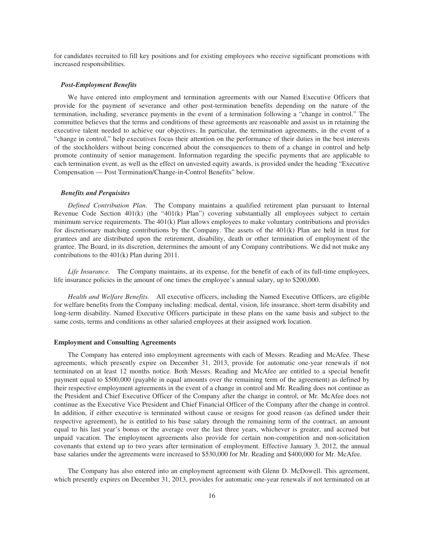for candidates recruited to fill key positions and for existing employees who receive significant promotions with increased responsibilities.

### *Post-Employment Benefits*

We have entered into employment and termination agreements with our Named Executive Officers that provide for the payment of severance and other post-termination benefits depending on the nature of the termination, including, severance payments in the event of a termination following a "change in control." The committee believes that the terms and conditions of these agreements are reasonable and assist us in retaining the executive talent needed to achieve our objectives. In particular, the termination agreements, in the event of a "change in control," help executives focus their attention on the performance of their duties in the best interests of the stockholders without being concerned about the consequences to them of a change in control and help promote continuity of senior management. Information regarding the specific payments that are applicable to each termination event, as well as the effect on unvested equity awards, is provided under the heading "Executive Compensation — Post Termination/Change-in-Control Benefits" below.

### *Benefits and Perquisites*

*Defined Contribution Plan.* The Company maintains a qualified retirement plan pursuant to Internal Revenue Code Section  $401(k)$  (the " $401(k)$  Plan") covering substantially all employees subject to certain minimum service requirements. The 401(k) Plan allows employees to make voluntary contributions and provides for discretionary matching contributions by the Company. The assets of the 401(k) Plan are held in trust for grantees and are distributed upon the retirement, disability, death or other termination of employment of the grantee. The Board, in its discretion, determines the amount of any Company contributions. We did not make any contributions to the 401(k) Plan during 2011.

*Life Insurance.* The Company maintains, at its expense, for the benefit of each of its full-time employees, life insurance policies in the amount of one times the employee's annual salary, up to \$200,000.

*Health and Welfare Benefits.* All executive officers, including the Named Executive Officers, are eligible for welfare benefits from the Company including: medical, dental, vision, life insurance, short-term disability and long-term disability. Named Executive Officers participate in these plans on the same basis and subject to the same costs, terms and conditions as other salaried employees at their assigned work location.

### **Employment and Consulting Agreements**

The Company has entered into employment agreements with each of Messrs. Reading and McAfee. These agreements, which presently expire on December 31, 2013, provide for automatic one-year renewals if not terminated on at least 12 months notice. Both Messrs. Reading and McAfee are entitled to a special benefit payment equal to \$500,000 (payable in equal amounts over the remaining term of the agreement) as defined by their respective employment agreements in the event of a change in control and Mr. Reading does not continue as the President and Chief Executive Officer of the Company after the change in control, or Mr. McAfee does not continue as the Executive Vice President and Chief Financial Officer of the Company after the change in control. In addition, if either executive is terminated without cause or resigns for good reason (as defined under their respective agreement), he is entitled to his base salary through the remaining term of the contract, an amount equal to his last year's bonus or the average over the last three years, whichever is greater, and accrued but unpaid vacation. The employment agreements also provide for certain non-competition and non-solicitation covenants that extend up to two years after termination of employment. Effective January 3, 2012, the annual base salaries under the agreements were increased to \$530,000 for Mr. Reading and \$400,000 for Mr. McAfee.

The Company has also entered into an employment agreement with Glenn D. McDowell. This agreement, which presently expires on December 31, 2013, provides for automatic one-year renewals if not terminated on at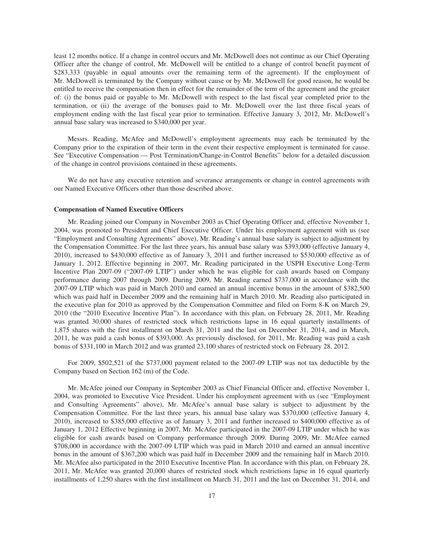least 12 months notice. If a change in control occurs and Mr. McDowell does not continue as our Chief Operating Officer after the change of control, Mr. McDowell will be entitled to a change of control benefit payment of \$283,333 (payable in equal amounts over the remaining term of the agreement). If the employment of Mr. McDowell is terminated by the Company without cause or by Mr. McDowell for good reason, he would be entitled to receive the compensation then in effect for the remainder of the term of the agreement and the greater of: (i) the bonus paid or payable to Mr. McDowell with respect to the last fiscal year completed prior to the termination, or (ii) the average of the bonuses paid to Mr. McDowell over the last three fiscal years of employment ending with the last fiscal year prior to termination. Effective January 3, 2012, Mr. McDowell's annual base salary was increased to \$340,000 per year.

Messrs. Reading, McAfee and McDowell's employment agreements may each be terminated by the Company prior to the expiration of their term in the event their respective employment is terminated for cause. See "Executive Compensation — Post Termination/Change-in-Control Benefits" below for a detailed discussion of the change in control provisions contained in these agreements.

We do not have any executive retention and severance arrangements or change in control agreements with our Named Executive Officers other than those described above.

#### **Compensation of Named Executive Officers**

Mr. Reading joined our Company in November 2003 as Chief Operating Officer and, effective November 1, 2004, was promoted to President and Chief Executive Officer. Under his employment agreement with us (see "Employment and Consulting Agreements" above), Mr. Reading's annual base salary is subject to adjustment by the Compensation Committee. For the last three years, his annual base salary was \$393,000 (effective January 4, 2010), increased to \$430,000 effective as of January 3, 2011 and further increased to \$530,000 effective as of January 1, 2012. Effective beginning in 2007, Mr. Reading participated in the USPH Executive Long-Term Incentive Plan 2007-09 ("2007-09 LTIP") under which he was eligible for cash awards based on Company performance during 2007 through 2009. During 2009, Mr. Reading earned \$737,000 in accordance with the 2007-09 LTIP which was paid in March 2010 and earned an annual incentive bonus in the amount of \$382,500 which was paid half in December 2009 and the remaining half in March 2010. Mr. Reading also participated in the executive plan for 2010 as approved by the Compensation Committee and filed on Form 8-K on March 29, 2010 (the "2010 Executive Incentive Plan"). In accordance with this plan, on February 28, 2011, Mr. Reading was granted 30,000 shares of restricted stock which restrictions lapse in 16 equal quarterly installments of 1,875 shares with the first installment on March 31, 2011 and the last on December 31, 2014, and in March, 2011, he was paid a cash bonus of \$393,000. As previously disclosed, for 2011, Mr. Reading was paid a cash bonus of \$331,100 in March 2012 and was granted 23,100 shares of restricted stock on February 28, 2012.

For 2009, \$502,521 of the \$737,000 payment related to the 2007-09 LTIP was not tax deductible by the Company based on Section 162 (m) of the Code.

Mr. McAfee joined our Company in September 2003 as Chief Financial Officer and, effective November 1, 2004, was promoted to Executive Vice President. Under his employment agreement with us (see "Employment and Consulting Agreements" above), Mr. McAfee's annual base salary is subject to adjustment by the Compensation Committee. For the last three years, his annual base salary was \$370,000 (effective January 4, 2010), increased to \$385,000 effective as of January 3, 2011 and further increased to \$400,000 effective as of January 1, 2012 Effective beginning in 2007, Mr. McAfee participated in the 2007-09 LTIP under which he was eligible for cash awards based on Company performance through 2009. During 2009, Mr. McAfee earned \$708,000 in accordance with the 2007-09 LTIP which was paid in March 2010 and earned an annual incentive bonus in the amount of \$367,200 which was paid half in December 2009 and the remaining half in March 2010. Mr. McAfee also participated in the 2010 Executive Incentive Plan. In accordance with this plan, on February 28, 2011, Mr. McAfee was granted 20,000 shares of restricted stock which restrictions lapse in 16 equal quarterly installments of 1,250 shares with the first installment on March 31, 2011 and the last on December 31, 2014, and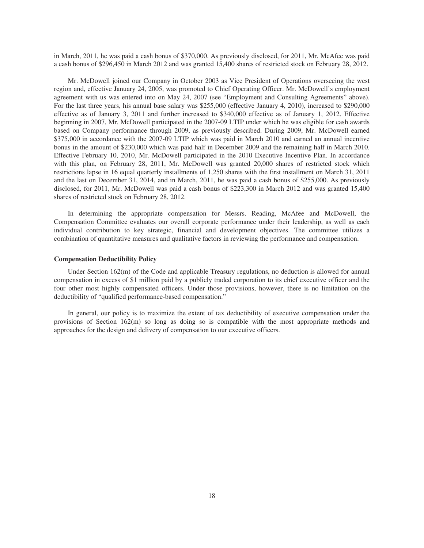in March, 2011, he was paid a cash bonus of \$370,000. As previously disclosed, for 2011, Mr. McAfee was paid a cash bonus of \$296,450 in March 2012 and was granted 15,400 shares of restricted stock on February 28, 2012.

Mr. McDowell joined our Company in October 2003 as Vice President of Operations overseeing the west region and, effective January 24, 2005, was promoted to Chief Operating Officer. Mr. McDowell's employment agreement with us was entered into on May 24, 2007 (see "Employment and Consulting Agreements" above). For the last three years, his annual base salary was \$255,000 (effective January 4, 2010), increased to \$290,000 effective as of January 3, 2011 and further increased to \$340,000 effective as of January 1, 2012. Effective beginning in 2007, Mr. McDowell participated in the 2007-09 LTIP under which he was eligible for cash awards based on Company performance through 2009, as previously described. During 2009, Mr. McDowell earned \$375,000 in accordance with the 2007-09 LTIP which was paid in March 2010 and earned an annual incentive bonus in the amount of \$230,000 which was paid half in December 2009 and the remaining half in March 2010. Effective February 10, 2010, Mr. McDowell participated in the 2010 Executive Incentive Plan. In accordance with this plan, on February 28, 2011, Mr. McDowell was granted 20,000 shares of restricted stock which restrictions lapse in 16 equal quarterly installments of 1,250 shares with the first installment on March 31, 2011 and the last on December 31, 2014, and in March, 2011, he was paid a cash bonus of \$255,000. As previously disclosed, for 2011, Mr. McDowell was paid a cash bonus of \$223,300 in March 2012 and was granted 15,400 shares of restricted stock on February 28, 2012.

In determining the appropriate compensation for Messrs. Reading, McAfee and McDowell, the Compensation Committee evaluates our overall corporate performance under their leadership, as well as each individual contribution to key strategic, financial and development objectives. The committee utilizes a combination of quantitative measures and qualitative factors in reviewing the performance and compensation.

### **Compensation Deductibility Policy**

Under Section 162(m) of the Code and applicable Treasury regulations, no deduction is allowed for annual compensation in excess of \$1 million paid by a publicly traded corporation to its chief executive officer and the four other most highly compensated officers. Under those provisions, however, there is no limitation on the deductibility of "qualified performance-based compensation."

In general, our policy is to maximize the extent of tax deductibility of executive compensation under the provisions of Section 162(m) so long as doing so is compatible with the most appropriate methods and approaches for the design and delivery of compensation to our executive officers.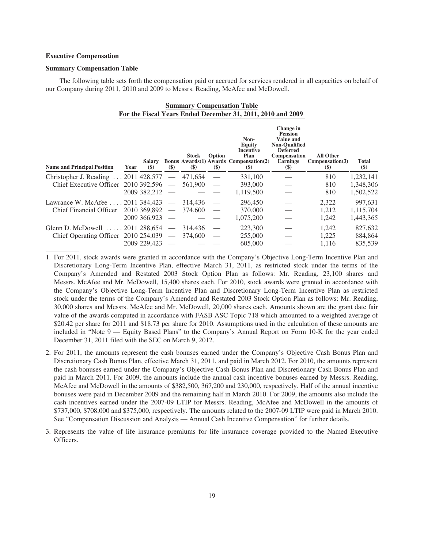### **Executive Compensation**

### **Summary Compensation Table**

The following table sets forth the compensation paid or accrued for services rendered in all capacities on behalf of our Company during 2011, 2010 and 2009 to Messrs. Reading, McAfee and McDowell.

| <b>Summary Compensation Table</b>                           |  |  |
|-------------------------------------------------------------|--|--|
| For the Fiscal Years Ended December 31, 2011, 2010 and 2009 |  |  |

| <b>Name and Principal Position</b>        | Year | <b>Salary</b><br>$\left( \mathbf{\$}\right)$ | $(\$)$                   | Stock<br>$(\$)$ | Option<br>$(\$)$         | Non-<br>Equity<br><b>Incentive</b><br>Plan<br><b>Bonus Awards</b> (1) Awards Compensation(2)<br><b>(\$)</b> | Change in<br><b>Pension</b><br><b>Value and</b><br><b>Non-Oualified</b><br><b>Deferred</b><br><b>Compensation</b><br><b>Earnings</b><br>$(\$)$ | <b>All Other</b><br>Compensation (3)<br>$\left( \mathbf{\$}\right)$ | Total<br>$(\$)$ |
|-------------------------------------------|------|----------------------------------------------|--------------------------|-----------------|--------------------------|-------------------------------------------------------------------------------------------------------------|------------------------------------------------------------------------------------------------------------------------------------------------|---------------------------------------------------------------------|-----------------|
| Christopher J. Reading  2011 428,577      |      |                                              | $\overline{\phantom{m}}$ | 471,654         |                          | 331,100                                                                                                     |                                                                                                                                                | 810                                                                 | 1,232,141       |
| Chief Executive Officer 2010 392,596      |      |                                              | $\overline{\phantom{a}}$ | 561,900         |                          | 393,000                                                                                                     |                                                                                                                                                | 810                                                                 | 1,348,306       |
|                                           |      | 2009 382,212                                 |                          |                 |                          | 1,119,500                                                                                                   |                                                                                                                                                | 810                                                                 | 1,502,522       |
| Lawrance W. McAfee 2011 384,423           |      |                                              | $\overline{\phantom{0}}$ | 314.436         |                          | 296,450                                                                                                     |                                                                                                                                                | 2,322                                                               | 997.631         |
| Chief Financial Officer 2010 369,892      |      |                                              | $\overline{\phantom{m}}$ | 374,600         | $\overline{\phantom{m}}$ | 370,000                                                                                                     |                                                                                                                                                | 1,212                                                               | 1,115,704       |
|                                           |      | 2009 366,923                                 |                          |                 |                          | 1,075,200                                                                                                   |                                                                                                                                                | 1,242                                                               | 1,443,365       |
| Glenn D. McDowell $\ldots$ . 2011 288,654 |      |                                              | $\overline{\phantom{m}}$ | 314.436         |                          | 223,300                                                                                                     |                                                                                                                                                | 1.242                                                               | 827,632         |
| Chief Operating Officer 2010 254,039      |      |                                              | $\overline{\phantom{0}}$ | 374,600         | $\overline{\phantom{m}}$ | 255,000                                                                                                     |                                                                                                                                                | 1,225                                                               | 884,864         |
|                                           |      | 2009 229,423                                 |                          |                 |                          | 605,000                                                                                                     |                                                                                                                                                | 1.116                                                               | 835,539         |

1. For 2011, stock awards were granted in accordance with the Company's Objective Long-Term Incentive Plan and Discretionary Long-Term Incentive Plan, effective March 31, 2011, as restricted stock under the terms of the Company's Amended and Restated 2003 Stock Option Plan as follows: Mr. Reading, 23,100 shares and Messrs. McAfee and Mr. McDowell, 15,400 shares each. For 2010, stock awards were granted in accordance with the Company's Objective Long-Term Incentive Plan and Discretionary Long-Term Incentive Plan as restricted stock under the terms of the Company's Amended and Restated 2003 Stock Option Plan as follows: Mr. Reading, 30,000 shares and Messrs. McAfee and Mr. McDowell, 20,000 shares each. Amounts shown are the grant date fair value of the awards computed in accordance with FASB ASC Topic 718 which amounted to a weighted average of \$20.42 per share for 2011 and \$18.73 per share for 2010. Assumptions used in the calculation of these amounts are included in "Note 9 — Equity Based Plans" to the Company's Annual Report on Form 10-K for the year ended December 31, 2011 filed with the SEC on March 9, 2012.

- 2. For 2011, the amounts represent the cash bonuses earned under the Company's Objective Cash Bonus Plan and Discretionary Cash Bonus Plan, effective March 31, 2011, and paid in March 2012. For 2010, the amounts represent the cash bonuses earned under the Company's Objective Cash Bonus Plan and Discretionary Cash Bonus Plan and paid in March 2011. For 2009, the amounts include the annual cash incentive bonuses earned by Messrs. Reading, McAfee and McDowell in the amounts of \$382,500, 367,200 and 230,000, respectively. Half of the annual incentive bonuses were paid in December 2009 and the remaining half in March 2010. For 2009, the amounts also include the cash incentives earned under the 2007-09 LTIP for Messrs. Reading, McAfee and McDowell in the amounts of \$737,000, \$708,000 and \$375,000, respectively. The amounts related to the 2007-09 LTIP were paid in March 2010. See "Compensation Discussion and Analysis — Annual Cash Incentive Compensation" for further details.
- 3. Represents the value of life insurance premiums for life insurance coverage provided to the Named Executive Officers.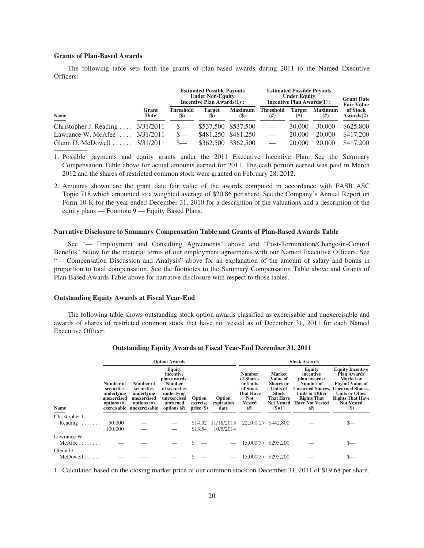### **Grants of Plan-Based Awards**

The following table sets forth the grants of plan-based awards during 2011 to the Named Executive Officers:

|                                             |               |                                                | <b>Estimated Possible Payouts</b><br><b>Under Non-Equity</b><br>Incentive Plan Awards(1): |                               | <b>Estimated Possible Payouts</b><br><b>Under Equity</b><br>Incentive Plan Awards(1): | <b>Grant Date</b><br><b>Fair Value</b> |                     |                       |
|---------------------------------------------|---------------|------------------------------------------------|-------------------------------------------------------------------------------------------|-------------------------------|---------------------------------------------------------------------------------------|----------------------------------------|---------------------|-----------------------|
| Name                                        | Grant<br>Date | <b>Threshold</b><br>$\left( \mathbb{S}\right)$ | <b>Target</b><br><b>(\$)</b>                                                              | <b>Maximum</b><br><b>(\$)</b> | <b>Threshold</b><br>#)                                                                | Target<br>(#)                          | <b>Maximum</b><br># | of Stock<br>Awards(2) |
| Christopher J. Reading $3/31/2011$          |               |                                                |                                                                                           | \$537,500 \$537,500           | $\overbrace{\phantom{aaaaa}}$                                                         | 30,000                                 | 30,000              | \$625,800             |
| Lawrance W. McAfee                          | 3/31/2011     |                                                |                                                                                           | \$481,250 \$481,250           |                                                                                       | 20,000                                 | 20,000              | \$417,200             |
| Glenn D. McDowell $\ldots \ldots$ 3/31/2011 |               |                                                | \$362,500                                                                                 | \$362,500                     |                                                                                       | 20,000                                 | 20,000              | \$417,200             |

1. Possible payments and equity grants under the 2011 Executive Incentive Plan. See the Summary Compensation Table above for actual amounts earned for 2011. The cash portion earned was paid in March 2012 and the shares of restricted common stock were granted on February 28, 2012.

2. Amounts shown are the grant date fair value of the awards computed in accordance with FASB ASC Topic 718 which amounted to a weighted average of \$20.86 per share. See the Company's Annual Report on Form 10-K for the year ended December 31, 2010 for a description of the valuations and a description of the equity plans — Footnote 9 — Equity Based Plans.

#### **Narrative Disclosure to Summary Compensation Table and Grants of Plan-Based Awards Table**

See "— Employment and Consulting Agreements" above and "Post-Termination/Change-in-Control Benefits" below for the material terms of our employment agreements with our Named Executive Officers. See "— Compensation Discussion and Analysis" above for an explanation of the amount of salary and bonus in proportion to total compensation. See the footnotes to the Summary Compensation Table above and Grants of Plan-Based Awards Table above for narrative disclosure with respect to those tables.

### **Outstanding Equity Awards at Fiscal Year-End**

The following table shows outstanding stock option awards classified as exercisable and unexercisable and awards of shares of restricted common stock that have not vested as of December 31, 2011 for each Named Executive Officer.

|                                       |                                                                       |                                                                                                    | <b>Option Awards</b>                                                                                                            |                                    |                              |                                                                                                             |                                                                                                                                     | <b>Stock Awards</b>                                                                                                                                        |                                                                                                                                                                                                    |
|---------------------------------------|-----------------------------------------------------------------------|----------------------------------------------------------------------------------------------------|---------------------------------------------------------------------------------------------------------------------------------|------------------------------------|------------------------------|-------------------------------------------------------------------------------------------------------------|-------------------------------------------------------------------------------------------------------------------------------------|------------------------------------------------------------------------------------------------------------------------------------------------------------|----------------------------------------------------------------------------------------------------------------------------------------------------------------------------------------------------|
| Name                                  | Number of<br>securities<br>underlying<br>unexercised<br>options $(f)$ | Number of<br>securities<br>underlying<br>unexercised<br>options $(f)$<br>exercisable unexercisable | Equity<br>incentive<br>plan awards:<br><b>Number</b><br>of securities<br>underlying<br>unexercised<br>unearned<br>options $(f)$ | Option<br>exercise<br>$price(\$))$ | Option<br>expiration<br>date | <b>Number</b><br>of Shares<br>or Units<br>of Stock<br><b>That Have</b><br><b>Not</b><br><b>Vested</b><br>#) | <b>Market</b><br>Value of<br><b>Shares</b> or<br><b>Units of</b><br><b>Stock</b><br><b>That Have</b><br><b>Not Vested</b><br>(3)(1) | Equity<br>incentive<br>plan awards:<br>Number of<br><b>Unearned Shares,</b><br><b>Units or Other</b><br><b>Rights That</b><br><b>Have Not Vested</b><br>#) | <b>Equity Incentive</b><br><b>Plan Awards</b><br>Market or<br><b>Payout Value of</b><br><b>Unearned Shares.</b><br><b>Units or Other</b><br><b>Rights That Have</b><br><b>Not Vested</b><br>$(\$)$ |
| Christopher J.                        |                                                                       |                                                                                                    |                                                                                                                                 |                                    |                              |                                                                                                             |                                                                                                                                     |                                                                                                                                                            |                                                                                                                                                                                                    |
| Reading $\ldots$                      | 50,000                                                                |                                                                                                    |                                                                                                                                 | \$14.32                            | 11/18/2013                   | 22,500(2)                                                                                                   | \$442,800                                                                                                                           |                                                                                                                                                            |                                                                                                                                                                                                    |
|                                       | 100,000                                                               |                                                                                                    |                                                                                                                                 | \$13.54                            | 10/5/2014                    |                                                                                                             |                                                                                                                                     |                                                                                                                                                            |                                                                                                                                                                                                    |
| Lawrance W.<br>$McAfee \ldots \ldots$ |                                                                       |                                                                                                    |                                                                                                                                 |                                    |                              | 15,000(3)                                                                                                   | \$295,200                                                                                                                           |                                                                                                                                                            | $S-$                                                                                                                                                                                               |
| Glenn D.<br>$McDowell$                |                                                                       |                                                                                                    |                                                                                                                                 |                                    |                              | 15,000(3)                                                                                                   | \$295,200                                                                                                                           |                                                                                                                                                            | ъ—                                                                                                                                                                                                 |

#### **Outstanding Equity Awards at Fiscal Year-End December 31, 2011**

1. Calculated based on the closing market price of our common stock on December 31, 2011 of \$19.68 per share.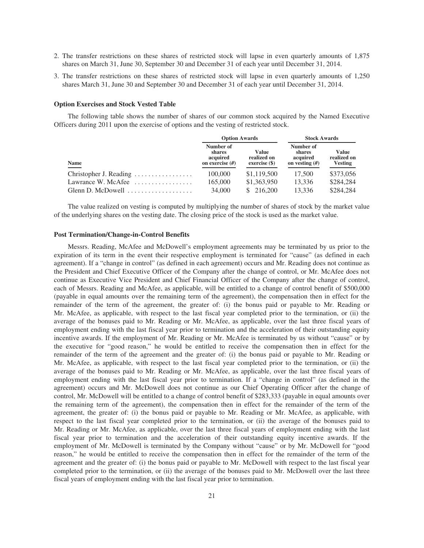- 2. The transfer restrictions on these shares of restricted stock will lapse in even quarterly amounts of 1,875 shares on March 31, June 30, September 30 and December 31 of each year until December 31, 2014.
- 3. The transfer restrictions on these shares of restricted stock will lapse in even quarterly amounts of 1,250 shares March 31, June 30 and September 30 and December 31 of each year until December 31, 2014.

#### **Option Exercises and Stock Vested Table**

The following table shows the number of shares of our common stock acquired by the Named Executive Officers during 2011 upon the exercise of options and the vesting of restricted stock.

|                                                         | <b>Option Awards</b>                                        |                                         | <b>Stock Awards</b>                                 |                                               |  |
|---------------------------------------------------------|-------------------------------------------------------------|-----------------------------------------|-----------------------------------------------------|-----------------------------------------------|--|
| <b>Name</b>                                             | Number of<br><b>shares</b><br>acquired<br>on exercise $(H)$ | Value<br>realized on<br>$exercise$ (\$) | Number of<br>shares<br>acquired<br>on vesting $(H)$ | <b>Value</b><br>realized on<br><b>Vesting</b> |  |
| Christopher J. Reading                                  | 100,000                                                     | \$1,119,500                             | 17.500                                              | \$373,056                                     |  |
| Lawrance W. McAfee $\dots\dots\dots\dots\dots\dots$     | 165,000                                                     | \$1,363,950                             | 13.336                                              | \$284,284                                     |  |
| Glenn D. McDowell $\dots\dots\dots\dots\dots\dots\dots$ | 34,000                                                      | \$216,200                               | 13.336                                              | \$284,284                                     |  |

The value realized on vesting is computed by multiplying the number of shares of stock by the market value of the underlying shares on the vesting date. The closing price of the stock is used as the market value.

#### **Post Termination/Change-in-Control Benefits**

Messrs. Reading, McAfee and McDowell's employment agreements may be terminated by us prior to the expiration of its term in the event their respective employment is terminated for "cause" (as defined in each agreement). If a "change in control" (as defined in each agreement) occurs and Mr. Reading does not continue as the President and Chief Executive Officer of the Company after the change of control, or Mr. McAfee does not continue as Executive Vice President and Chief Financial Officer of the Company after the change of control, each of Messrs. Reading and McAfee, as applicable, will be entitled to a change of control benefit of \$500,000 (payable in equal amounts over the remaining term of the agreement), the compensation then in effect for the remainder of the term of the agreement, the greater of: (i) the bonus paid or payable to Mr. Reading or Mr. McAfee, as applicable, with respect to the last fiscal year completed prior to the termination, or (ii) the average of the bonuses paid to Mr. Reading or Mr. McAfee, as applicable, over the last three fiscal years of employment ending with the last fiscal year prior to termination and the acceleration of their outstanding equity incentive awards. If the employment of Mr. Reading or Mr. McAfee is terminated by us without "cause" or by the executive for "good reason," he would be entitled to receive the compensation then in effect for the remainder of the term of the agreement and the greater of: (i) the bonus paid or payable to Mr. Reading or Mr. McAfee, as applicable, with respect to the last fiscal year completed prior to the termination, or (ii) the average of the bonuses paid to Mr. Reading or Mr. McAfee, as applicable, over the last three fiscal years of employment ending with the last fiscal year prior to termination. If a "change in control" (as defined in the agreement) occurs and Mr. McDowell does not continue as our Chief Operating Officer after the change of control, Mr. McDowell will be entitled to a change of control benefit of \$283,333 (payable in equal amounts over the remaining term of the agreement), the compensation then in effect for the remainder of the term of the agreement, the greater of: (i) the bonus paid or payable to Mr. Reading or Mr. McAfee, as applicable, with respect to the last fiscal year completed prior to the termination, or (ii) the average of the bonuses paid to Mr. Reading or Mr. McAfee, as applicable, over the last three fiscal years of employment ending with the last fiscal year prior to termination and the acceleration of their outstanding equity incentive awards. If the employment of Mr. McDowell is terminated by the Company without "cause" or by Mr. McDowell for "good reason," he would be entitled to receive the compensation then in effect for the remainder of the term of the agreement and the greater of: (i) the bonus paid or payable to Mr. McDowell with respect to the last fiscal year completed prior to the termination, or (ii) the average of the bonuses paid to Mr. McDowell over the last three fiscal years of employment ending with the last fiscal year prior to termination.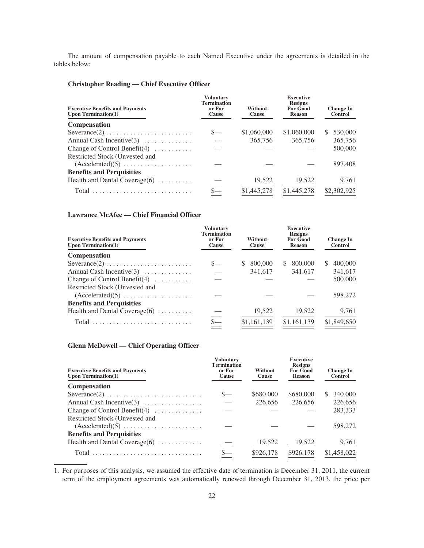The amount of compensation payable to each Named Executive under the agreements is detailed in the tables below:

# **Christopher Reading — Chief Executive Officer**

| <b>Executive Benefits and Payments</b><br>Upon Termination $(1)$ | <b>Voluntary</b><br><b>Termination</b><br>or For<br>Cause | Without<br>Cause | <b>Executive</b><br><b>Resigns</b><br><b>For Good</b><br>Reason | <b>Change In</b><br><b>Control</b> |
|------------------------------------------------------------------|-----------------------------------------------------------|------------------|-----------------------------------------------------------------|------------------------------------|
| <b>Compensation</b>                                              |                                                           |                  |                                                                 |                                    |
| $Severance(2) \ldots \ldots \ldots \ldots \ldots \ldots \ldots$  |                                                           | \$1,060,000      | \$1,060,000                                                     | 530,000<br>S.                      |
| Annual Cash Incentive $(3)$                                      |                                                           | 365,756          | 365,756                                                         | 365,756                            |
| Change of Control Benefit $(4)$                                  |                                                           |                  |                                                                 | 500,000                            |
| Restricted Stock (Unvested and                                   |                                                           |                  |                                                                 |                                    |
| $(Accelerated)(5) \ldots \ldots \ldots \ldots \ldots$            |                                                           |                  |                                                                 | 897,408                            |
| <b>Benefits and Perquisities</b>                                 |                                                           |                  |                                                                 |                                    |
| Health and Dental Coverage $(6)$                                 |                                                           | 19,522           | 19,522                                                          | 9,761                              |
|                                                                  |                                                           | \$1,445,278      | \$1,445,278                                                     | \$2,302,925                        |

# **Lawrance McAfee — Chief Financial Officer**

| <b>Executive Benefits and Payments</b><br>Upon Termination $(1)$       | <b>Voluntary</b><br><b>Termination</b><br>or For<br>Cause | Without<br>Cause        | <b>Executive</b><br><b>Resigns</b><br><b>For Good</b><br><b>Reason</b> | <b>Change In</b><br><b>Control</b> |
|------------------------------------------------------------------------|-----------------------------------------------------------|-------------------------|------------------------------------------------------------------------|------------------------------------|
| <b>Compensation</b>                                                    |                                                           |                         |                                                                        |                                    |
| $Severance(2) \ldots \ldots \ldots \ldots \ldots \ldots \ldots \ldots$ |                                                           | 800,000<br><sup>S</sup> | 800,000<br>S.                                                          | 400,000                            |
| Annual Cash Incentive $(3)$                                            |                                                           | 341,617                 | 341,617                                                                | 341,617                            |
| Change of Control Benefit $(4)$                                        |                                                           |                         |                                                                        | 500,000                            |
| Restricted Stock (Unvested and                                         |                                                           |                         |                                                                        |                                    |
| $(Accelerated)(5) \ldots \ldots \ldots \ldots \ldots$                  |                                                           |                         |                                                                        | 598,272                            |
| <b>Benefits and Perquisities</b>                                       |                                                           |                         |                                                                        |                                    |
| Health and Dental Coverage $(6)$                                       |                                                           | 19,522                  | 19,522                                                                 | 9,761                              |
| Total                                                                  |                                                           | \$1,161,139             | \$1,161,139                                                            | \$1,849,650                        |
|                                                                        |                                                           |                         |                                                                        |                                    |

# **Glenn McDowell — Chief Operating Officer**

| <b>Executive Benefits and Payments</b><br>Upon Termination $(1)$       | <b>Voluntary</b><br><b>Termination</b><br>or For<br>Cause | Without<br>Cause | <b>Executive</b><br><b>Resigns</b><br><b>For Good</b><br><b>Reason</b> | <b>Change In</b><br><b>Control</b> |
|------------------------------------------------------------------------|-----------------------------------------------------------|------------------|------------------------------------------------------------------------|------------------------------------|
| <b>Compensation</b>                                                    |                                                           |                  |                                                                        |                                    |
| $Severance(2) \ldots \ldots \ldots \ldots \ldots \ldots \ldots \ldots$ |                                                           | \$680,000        | \$680,000                                                              | 340,000<br>S.                      |
| Annual Cash Incentive $(3)$                                            |                                                           | 226,656          | 226,656                                                                | 226,656                            |
| Change of Control Benefit $(4)$                                        |                                                           |                  |                                                                        | 283,333                            |
| Restricted Stock (Unvested and                                         |                                                           |                  |                                                                        |                                    |
| $(Accelerated)(5) \ldots \ldots \ldots \ldots \ldots \ldots$           |                                                           |                  |                                                                        | 598,272                            |
| <b>Benefits and Perquisities</b>                                       |                                                           |                  |                                                                        |                                    |
| Health and Dental Coverage $(6)$                                       |                                                           | 19,522           | 19,522                                                                 | 9,761                              |
|                                                                        |                                                           | \$926,178        | \$926,178                                                              | \$1,458,022                        |

1. For purposes of this analysis, we assumed the effective date of termination is December 31, 2011, the current term of the employment agreements was automatically renewed through December 31, 2013, the price per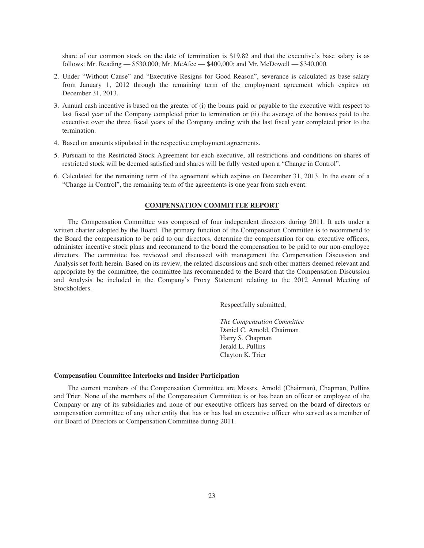share of our common stock on the date of termination is \$19.82 and that the executive's base salary is as follows: Mr. Reading — \$530,000; Mr. McAfee — \$400,000; and Mr. McDowell — \$340,000.

- 2. Under "Without Cause" and "Executive Resigns for Good Reason", severance is calculated as base salary from January 1, 2012 through the remaining term of the employment agreement which expires on December 31, 2013.
- 3. Annual cash incentive is based on the greater of (i) the bonus paid or payable to the executive with respect to last fiscal year of the Company completed prior to termination or (ii) the average of the bonuses paid to the executive over the three fiscal years of the Company ending with the last fiscal year completed prior to the termination.
- 4. Based on amounts stipulated in the respective employment agreements.
- 5. Pursuant to the Restricted Stock Agreement for each executive, all restrictions and conditions on shares of restricted stock will be deemed satisfied and shares will be fully vested upon a "Change in Control".
- 6. Calculated for the remaining term of the agreement which expires on December 31, 2013. In the event of a "Change in Control", the remaining term of the agreements is one year from such event.

# **COMPENSATION COMMITTEE REPORT**

The Compensation Committee was composed of four independent directors during 2011. It acts under a written charter adopted by the Board. The primary function of the Compensation Committee is to recommend to the Board the compensation to be paid to our directors, determine the compensation for our executive officers, administer incentive stock plans and recommend to the board the compensation to be paid to our non-employee directors. The committee has reviewed and discussed with management the Compensation Discussion and Analysis set forth herein. Based on its review, the related discussions and such other matters deemed relevant and appropriate by the committee, the committee has recommended to the Board that the Compensation Discussion and Analysis be included in the Company's Proxy Statement relating to the 2012 Annual Meeting of Stockholders.

Respectfully submitted,

*The Compensation Committee* Daniel C. Arnold, Chairman Harry S. Chapman Jerald L. Pullins Clayton K. Trier

### **Compensation Committee Interlocks and Insider Participation**

The current members of the Compensation Committee are Messrs. Arnold (Chairman), Chapman, Pullins and Trier. None of the members of the Compensation Committee is or has been an officer or employee of the Company or any of its subsidiaries and none of our executive officers has served on the board of directors or compensation committee of any other entity that has or has had an executive officer who served as a member of our Board of Directors or Compensation Committee during 2011.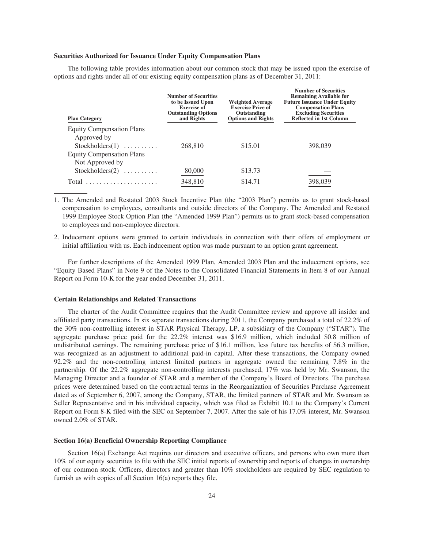### **Securities Authorized for Issuance Under Equity Compensation Plans**

The following table provides information about our common stock that may be issued upon the exercise of options and rights under all of our existing equity compensation plans as of December 31, 2011:

| <b>Plan Category</b>                            | <b>Number of Securities</b><br>to be Issued Upon<br><b>Exercise of</b><br><b>Outstanding Options</b><br>and Rights | <b>Weighted Average</b><br><b>Exercise Price of</b><br>Outstanding<br><b>Options and Rights</b> | <b>Number of Securities</b><br><b>Remaining Available for</b><br><b>Future Issuance Under Equity</b><br><b>Compensation Plans</b><br><b>Excluding Securities</b><br><b>Reflected in 1st Column</b> |
|-------------------------------------------------|--------------------------------------------------------------------------------------------------------------------|-------------------------------------------------------------------------------------------------|----------------------------------------------------------------------------------------------------------------------------------------------------------------------------------------------------|
| <b>Equity Compensation Plans</b><br>Approved by |                                                                                                                    |                                                                                                 |                                                                                                                                                                                                    |
| $Stockholders(1) \dots \dots \dots$             | 268,810                                                                                                            | \$15.01                                                                                         | 398,039                                                                                                                                                                                            |
| <b>Equity Compensation Plans</b>                |                                                                                                                    |                                                                                                 |                                                                                                                                                                                                    |
| Not Approved by                                 |                                                                                                                    |                                                                                                 |                                                                                                                                                                                                    |
| Stockholders $(2)$                              | 80,000                                                                                                             | \$13.73                                                                                         |                                                                                                                                                                                                    |
| Total                                           | 348,810                                                                                                            | \$14.71                                                                                         | 398,039                                                                                                                                                                                            |

1. The Amended and Restated 2003 Stock Incentive Plan (the "2003 Plan") permits us to grant stock-based compensation to employees, consultants and outside directors of the Company. The Amended and Restated 1999 Employee Stock Option Plan (the "Amended 1999 Plan") permits us to grant stock-based compensation to employees and non-employee directors.

2. Inducement options were granted to certain individuals in connection with their offers of employment or initial affiliation with us. Each inducement option was made pursuant to an option grant agreement.

For further descriptions of the Amended 1999 Plan, Amended 2003 Plan and the inducement options, see "Equity Based Plans" in Note 9 of the Notes to the Consolidated Financial Statements in Item 8 of our Annual Report on Form 10-K for the year ended December 31, 2011.

#### **Certain Relationships and Related Transactions**

The charter of the Audit Committee requires that the Audit Committee review and approve all insider and affiliated party transactions. In six separate transactions during 2011, the Company purchased a total of 22.2% of the 30% non-controlling interest in STAR Physical Therapy, LP, a subsidiary of the Company ("STAR"). The aggregate purchase price paid for the 22.2% interest was \$16.9 million, which included \$0.8 million of undistributed earnings. The remaining purchase price of \$16.1 million, less future tax benefits of \$6.3 million, was recognized as an adjustment to additional paid-in capital. After these transactions, the Company owned 92.2% and the non-controlling interest limited partners in aggregate owned the remaining 7.8% in the partnership. Of the 22.2% aggregate non-controlling interests purchased, 17% was held by Mr. Swanson, the Managing Director and a founder of STAR and a member of the Company's Board of Directors. The purchase prices were determined based on the contractual terms in the Reorganization of Securities Purchase Agreement dated as of September 6, 2007, among the Company, STAR, the limited partners of STAR and Mr. Swanson as Seller Representative and in his individual capacity, which was filed as Exhibit 10.1 to the Company's Current Report on Form 8-K filed with the SEC on September 7, 2007. After the sale of his 17.0% interest, Mr. Swanson owned 2.0% of STAR.

### **Section 16(a) Beneficial Ownership Reporting Compliance**

Section 16(a) Exchange Act requires our directors and executive officers, and persons who own more than 10% of our equity securities to file with the SEC initial reports of ownership and reports of changes in ownership of our common stock. Officers, directors and greater than 10% stockholders are required by SEC regulation to furnish us with copies of all Section 16(a) reports they file.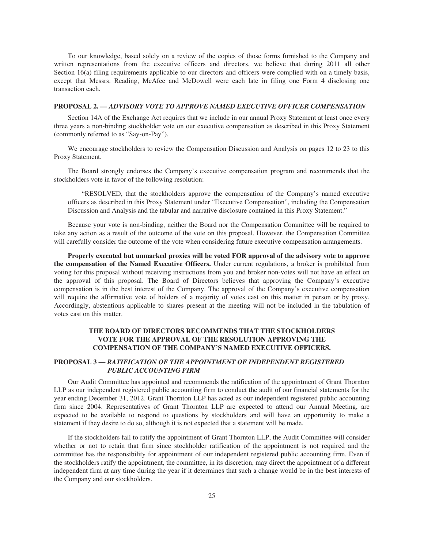To our knowledge, based solely on a review of the copies of those forms furnished to the Company and written representations from the executive officers and directors, we believe that during 2011 all other Section 16(a) filing requirements applicable to our directors and officers were complied with on a timely basis, except that Messrs. Reading, McAfee and McDowell were each late in filing one Form 4 disclosing one transaction each.

### **PROPOSAL 2.** *— ADVISORY VOTE TO APPROVE NAMED EXECUTIVE OFFICER COMPENSATION*

Section 14A of the Exchange Act requires that we include in our annual Proxy Statement at least once every three years a non-binding stockholder vote on our executive compensation as described in this Proxy Statement (commonly referred to as "Say-on-Pay").

We encourage stockholders to review the Compensation Discussion and Analysis on pages 12 to 23 to this Proxy Statement.

The Board strongly endorses the Company's executive compensation program and recommends that the stockholders vote in favor of the following resolution:

"RESOLVED, that the stockholders approve the compensation of the Company's named executive officers as described in this Proxy Statement under "Executive Compensation", including the Compensation Discussion and Analysis and the tabular and narrative disclosure contained in this Proxy Statement."

Because your vote is non-binding, neither the Board nor the Compensation Committee will be required to take any action as a result of the outcome of the vote on this proposal. However, the Compensation Committee will carefully consider the outcome of the vote when considering future executive compensation arrangements.

**Properly executed but unmarked proxies will be voted FOR approval of the advisory vote to approve the compensation of the Named Executive Officers.** Under current regulations, a broker is prohibited from voting for this proposal without receiving instructions from you and broker non-votes will not have an effect on the approval of this proposal. The Board of Directors believes that approving the Company's executive compensation is in the best interest of the Company. The approval of the Company's executive compensation will require the affirmative vote of holders of a majority of votes cast on this matter in person or by proxy. Accordingly, abstentions applicable to shares present at the meeting will not be included in the tabulation of votes cast on this matter.

# **THE BOARD OF DIRECTORS RECOMMENDS THAT THE STOCKHOLDERS VOTE FOR THE APPROVAL OF THE RESOLUTION APPROVING THE COMPENSATION OF THE COMPANY'S NAMED EXECUTIVE OFFICERS.**

# **PROPOSAL 3 —** *RATIFICATION OF THE APPOINTMENT OF INDEPENDENT REGISTERED PUBLIC ACCOUNTING FIRM*

Our Audit Committee has appointed and recommends the ratification of the appointment of Grant Thornton LLP as our independent registered public accounting firm to conduct the audit of our financial statements for the year ending December 31, 2012. Grant Thornton LLP has acted as our independent registered public accounting firm since 2004. Representatives of Grant Thornton LLP are expected to attend our Annual Meeting, are expected to be available to respond to questions by stockholders and will have an opportunity to make a statement if they desire to do so, although it is not expected that a statement will be made.

If the stockholders fail to ratify the appointment of Grant Thornton LLP, the Audit Committee will consider whether or not to retain that firm since stockholder ratification of the appointment is not required and the committee has the responsibility for appointment of our independent registered public accounting firm. Even if the stockholders ratify the appointment, the committee, in its discretion, may direct the appointment of a different independent firm at any time during the year if it determines that such a change would be in the best interests of the Company and our stockholders.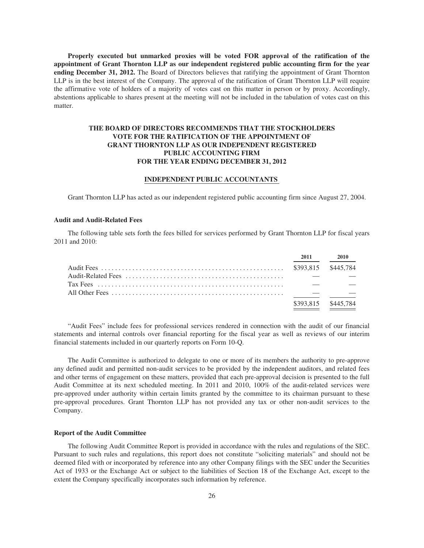**Properly executed but unmarked proxies will be voted FOR approval of the ratification of the appointment of Grant Thornton LLP as our independent registered public accounting firm for the year ending December 31, 2012.** The Board of Directors believes that ratifying the appointment of Grant Thornton LLP is in the best interest of the Company. The approval of the ratification of Grant Thornton LLP will require the affirmative vote of holders of a majority of votes cast on this matter in person or by proxy. Accordingly, abstentions applicable to shares present at the meeting will not be included in the tabulation of votes cast on this matter.

# **THE BOARD OF DIRECTORS RECOMMENDS THAT THE STOCKHOLDERS VOTE FOR THE RATIFICATION OF THE APPOINTMENT OF GRANT THORNTON LLP AS OUR INDEPENDENT REGISTERED PUBLIC ACCOUNTING FIRM FOR THE YEAR ENDING DECEMBER 31, 2012**

## **INDEPENDENT PUBLIC ACCOUNTANTS**

Grant Thornton LLP has acted as our independent registered public accounting firm since August 27, 2004.

### **Audit and Audit-Related Fees**

The following table sets forth the fees billed for services performed by Grant Thornton LLP for fiscal years 2011 and 2010:

|  | 2011 | <b>2010</b>         |
|--|------|---------------------|
|  |      |                     |
|  |      |                     |
|  |      |                     |
|  |      |                     |
|  |      | \$393,815 \$445,784 |

"Audit Fees" include fees for professional services rendered in connection with the audit of our financial statements and internal controls over financial reporting for the fiscal year as well as reviews of our interim financial statements included in our quarterly reports on Form 10-Q.

The Audit Committee is authorized to delegate to one or more of its members the authority to pre-approve any defined audit and permitted non-audit services to be provided by the independent auditors, and related fees and other terms of engagement on these matters, provided that each pre-approval decision is presented to the full Audit Committee at its next scheduled meeting. In 2011 and 2010, 100% of the audit-related services were pre-approved under authority within certain limits granted by the committee to its chairman pursuant to these pre-approval procedures. Grant Thornton LLP has not provided any tax or other non-audit services to the Company.

### **Report of the Audit Committee**

The following Audit Committee Report is provided in accordance with the rules and regulations of the SEC. Pursuant to such rules and regulations, this report does not constitute "soliciting materials" and should not be deemed filed with or incorporated by reference into any other Company filings with the SEC under the Securities Act of 1933 or the Exchange Act or subject to the liabilities of Section 18 of the Exchange Act, except to the extent the Company specifically incorporates such information by reference.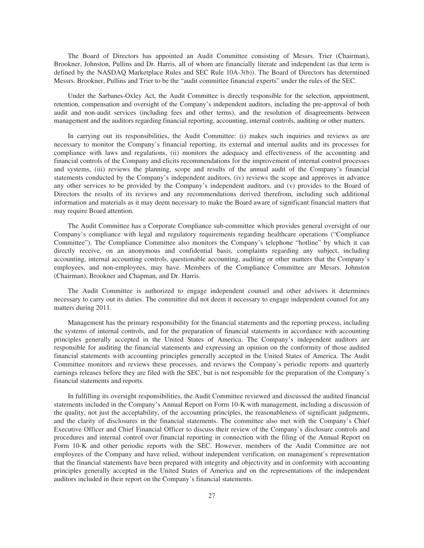The Board of Directors has appointed an Audit Committee consisting of Messrs. Trier (Chairman), Brookner, Johnston, Pullins and Dr. Harris, all of whom are financially literate and independent (as that term is defined by the NASDAQ Marketplace Rules and SEC Rule 10A-3(b)). The Board of Directors has determined Messrs. Brookner, Pullins and Trier to be the "audit committee financial experts" under the rules of the SEC.

Under the Sarbanes-Oxley Act, the Audit Committee is directly responsible for the selection, appointment, retention, compensation and oversight of the Company's independent auditors, including the pre-approval of both audit and non-audit services (including fees and other terms), and the resolution of disagreements between management and the auditors regarding financial reporting, accounting, internal controls, auditing or other matters.

In carrying out its responsibilities, the Audit Committee: (i) makes such inquiries and reviews as are necessary to monitor the Company's financial reporting, its external and internal audits and its processes for compliance with laws and regulations, (ii) monitors the adequacy and effectiveness of the accounting and financial controls of the Company and elicits recommendations for the improvement of internal control processes and systems, (iii) reviews the planning, scope and results of the annual audit of the Company's financial statements conducted by the Company's independent auditors, (iv) reviews the scope and approves in advance any other services to be provided by the Company's independent auditors, and (v) provides to the Board of Directors the results of its reviews and any recommendations derived therefrom, including such additional information and materials as it may deem necessary to make the Board aware of significant financial matters that may require Board attention.

The Audit Committee has a Corporate Compliance sub-committee which provides general oversight of our Company's compliance with legal and regulatory requirements regarding healthcare operations ("Compliance Committee"). The Compliance Committee also monitors the Company's telephone "hotline" by which it can directly receive, on an anonymous and confidential basis, complaints regarding any subject, including accounting, internal accounting controls, questionable accounting, auditing or other matters that the Company's employees, and non-employees, may have. Members of the Compliance Committee are Messrs. Johnston (Chairman), Brookner and Chapman, and Dr. Harris.

The Audit Committee is authorized to engage independent counsel and other advisors it determines necessary to carry out its duties. The committee did not deem it necessary to engage independent counsel for any matters during 2011.

Management has the primary responsibility for the financial statements and the reporting process, including the systems of internal controls, and for the preparation of financial statements in accordance with accounting principles generally accepted in the United States of America. The Company's independent auditors are responsible for auditing the financial statements and expressing an opinion on the conformity of those audited financial statements with accounting principles generally accepted in the United States of America. The Audit Committee monitors and reviews these processes, and reviews the Company's periodic reports and quarterly earnings releases before they are filed with the SEC, but is not responsible for the preparation of the Company's financial statements and reports.

In fulfilling its oversight responsibilities, the Audit Committee reviewed and discussed the audited financial statements included in the Company's Annual Report on Form 10-K with management, including a discussion of the quality, not just the acceptability, of the accounting principles, the reasonableness of significant judgments, and the clarity of disclosures in the financial statements. The committee also met with the Company's Chief Executive Officer and Chief Financial Officer to discuss their review of the Company's disclosure controls and procedures and internal control over financial reporting in connection with the filing of the Annual Report on Form 10-K and other periodic reports with the SEC. However, members of the Audit Committee are not employees of the Company and have relied, without independent verification, on management's representation that the financial statements have been prepared with integrity and objectivity and in conformity with accounting principles generally accepted in the United States of America and on the representations of the independent auditors included in their report on the Company's financial statements.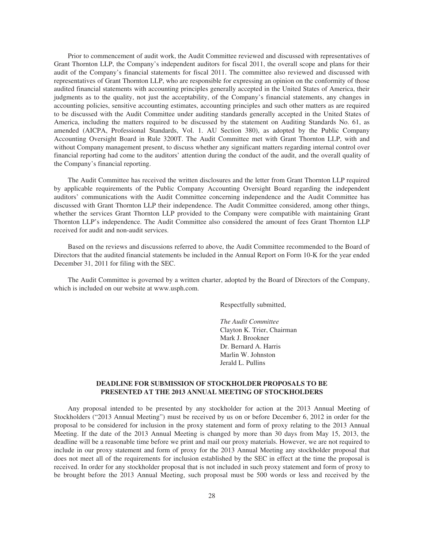Prior to commencement of audit work, the Audit Committee reviewed and discussed with representatives of Grant Thornton LLP, the Company's independent auditors for fiscal 2011, the overall scope and plans for their audit of the Company's financial statements for fiscal 2011. The committee also reviewed and discussed with representatives of Grant Thornton LLP, who are responsible for expressing an opinion on the conformity of those audited financial statements with accounting principles generally accepted in the United States of America, their judgments as to the quality, not just the acceptability, of the Company's financial statements, any changes in accounting policies, sensitive accounting estimates, accounting principles and such other matters as are required to be discussed with the Audit Committee under auditing standards generally accepted in the United States of America, including the matters required to be discussed by the statement on Auditing Standards No. 61, as amended (AICPA, Professional Standards, Vol. 1. AU Section 380), as adopted by the Public Company Accounting Oversight Board in Rule 3200T. The Audit Committee met with Grant Thornton LLP, with and without Company management present, to discuss whether any significant matters regarding internal control over financial reporting had come to the auditors' attention during the conduct of the audit, and the overall quality of the Company's financial reporting.

The Audit Committee has received the written disclosures and the letter from Grant Thornton LLP required by applicable requirements of the Public Company Accounting Oversight Board regarding the independent auditors' communications with the Audit Committee concerning independence and the Audit Committee has discussed with Grant Thornton LLP their independence. The Audit Committee considered, among other things, whether the services Grant Thornton LLP provided to the Company were compatible with maintaining Grant Thornton LLP's independence. The Audit Committee also considered the amount of fees Grant Thornton LLP received for audit and non-audit services.

Based on the reviews and discussions referred to above, the Audit Committee recommended to the Board of Directors that the audited financial statements be included in the Annual Report on Form 10-K for the year ended December 31, 2011 for filing with the SEC.

The Audit Committee is governed by a written charter, adopted by the Board of Directors of the Company, which is included on our website at www.usph.com.

Respectfully submitted,

*The Audit Committee* Clayton K. Trier, Chairman Mark J. Brookner Dr. Bernard A. Harris Marlin W. Johnston Jerald L. Pullins

# **DEADLINE FOR SUBMISSION OF STOCKHOLDER PROPOSALS TO BE PRESENTED AT THE 2013 ANNUAL MEETING OF STOCKHOLDERS**

Any proposal intended to be presented by any stockholder for action at the 2013 Annual Meeting of Stockholders ("2013 Annual Meeting") must be received by us on or before December 6, 2012 in order for the proposal to be considered for inclusion in the proxy statement and form of proxy relating to the 2013 Annual Meeting. If the date of the 2013 Annual Meeting is changed by more than 30 days from May 15, 2013, the deadline will be a reasonable time before we print and mail our proxy materials. However, we are not required to include in our proxy statement and form of proxy for the 2013 Annual Meeting any stockholder proposal that does not meet all of the requirements for inclusion established by the SEC in effect at the time the proposal is received. In order for any stockholder proposal that is not included in such proxy statement and form of proxy to be brought before the 2013 Annual Meeting, such proposal must be 500 words or less and received by the